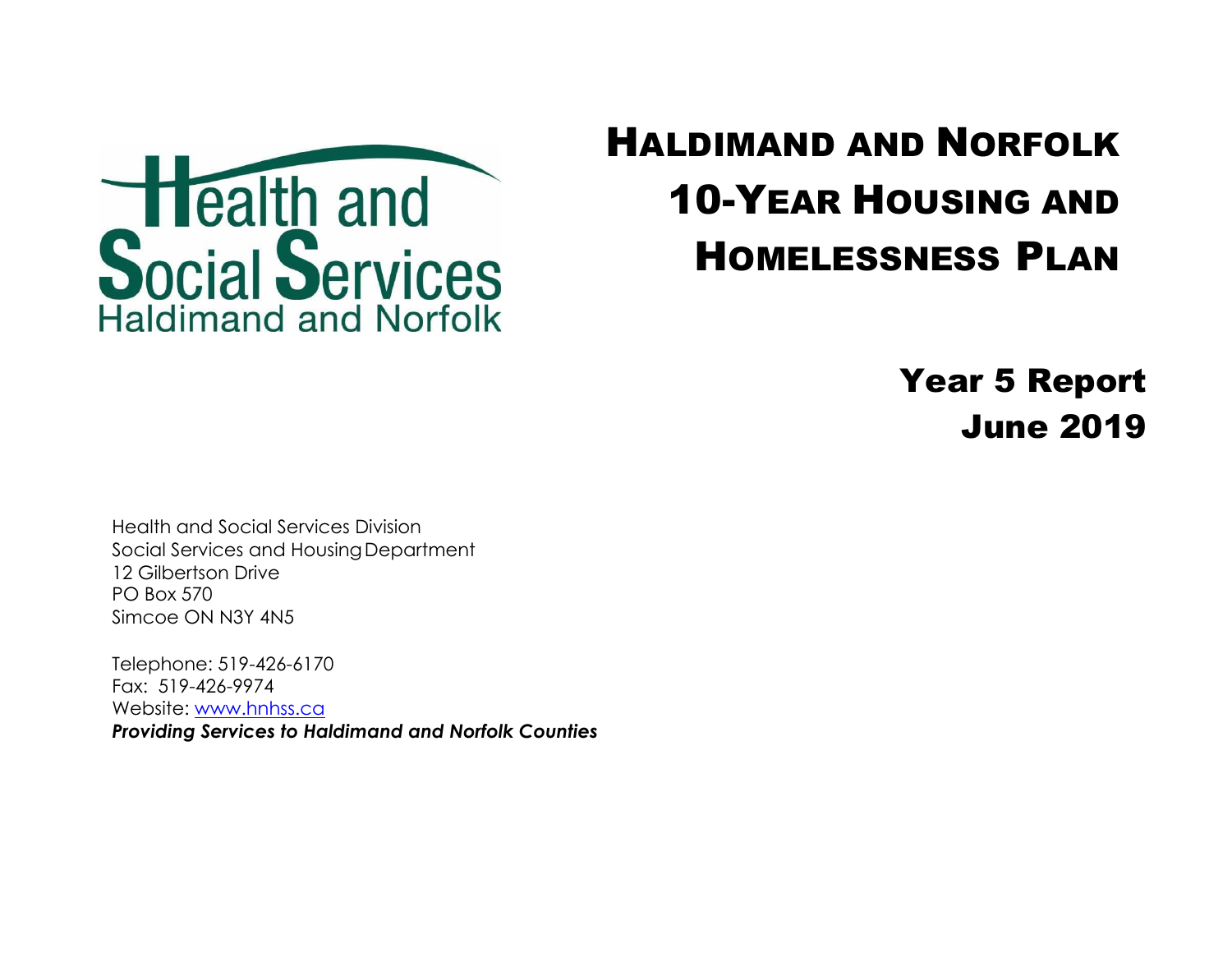

## HALDIMAND AND NORFOLK 10-YEAR HOUSING AND HOMELESSNESS PLAN

Year 5 Report June 2019

Health and Social Services Division Social Services and Housing Department 12 Gilbertson Drive PO Box 570 Simcoe ON N3Y 4N5

Telephone: 519-426-6170 Fax: 519-426-9974 Website: [www.hnhss.c](http://www.hnhss./)a

*Providing Services to Haldimand and Norfolk Counties*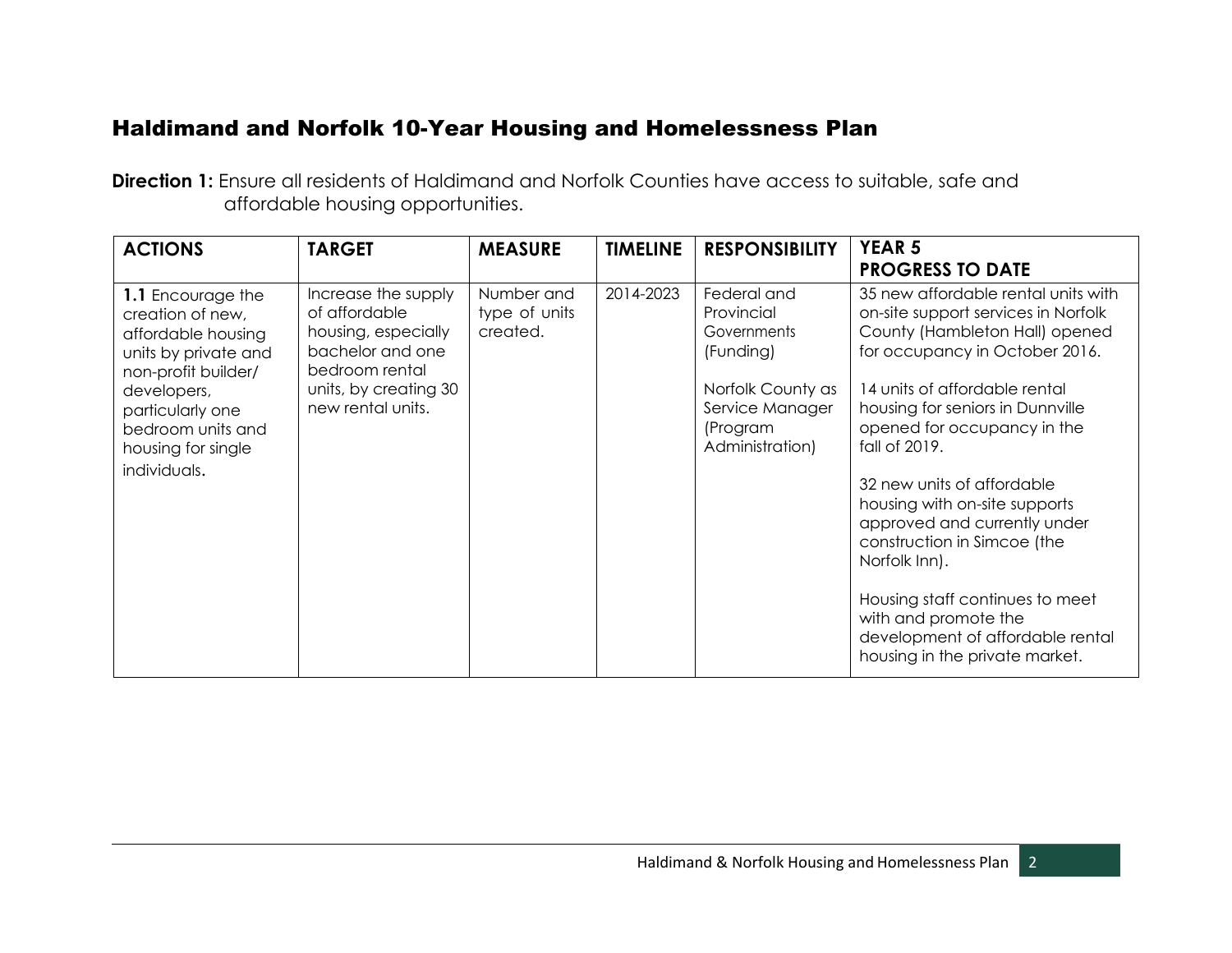## Haldimand and Norfolk 10-Year Housing and Homelessness Plan

**Direction 1:** Ensure all residents of Haldimand and Norfolk Counties have access to suitable, safe and affordable housing opportunities.

| <b>ACTIONS</b>                                                                                                                                                                                           | <b>TARGET</b>                                                                                                                                   | <b>MEASURE</b>                          | <b>TIMELINE</b> | <b>RESPONSIBILITY</b>                                                                                                        | <b>YEAR 5</b><br><b>PROGRESS TO DATE</b>                                                                                                                                                                                                                                                          |
|----------------------------------------------------------------------------------------------------------------------------------------------------------------------------------------------------------|-------------------------------------------------------------------------------------------------------------------------------------------------|-----------------------------------------|-----------------|------------------------------------------------------------------------------------------------------------------------------|---------------------------------------------------------------------------------------------------------------------------------------------------------------------------------------------------------------------------------------------------------------------------------------------------|
| 1.1 Encourage the<br>creation of new,<br>affordable housing<br>units by private and<br>non-profit builder/<br>developers,<br>particularly one<br>bedroom units and<br>housing for single<br>individuals. | Increase the supply<br>of affordable<br>housing, especially<br>bachelor and one<br>bedroom rental<br>units, by creating 30<br>new rental units. | Number and<br>type of units<br>created. | 2014-2023       | Federal and<br>Provincial<br>Governments<br>(Funding)<br>Norfolk County as<br>Service Manager<br>(Program<br>Administration) | 35 new affordable rental units with<br>on-site support services in Norfolk<br>County (Hambleton Hall) opened<br>for occupancy in October 2016.<br>14 units of affordable rental<br>housing for seniors in Dunnville<br>opened for occupancy in the<br>fall of 2019.<br>32 new units of affordable |
|                                                                                                                                                                                                          |                                                                                                                                                 |                                         |                 |                                                                                                                              | housing with on-site supports<br>approved and currently under<br>construction in Simcoe (the<br>Norfolk Inn).<br>Housing staff continues to meet<br>with and promote the<br>development of affordable rental<br>housing in the private market.                                                    |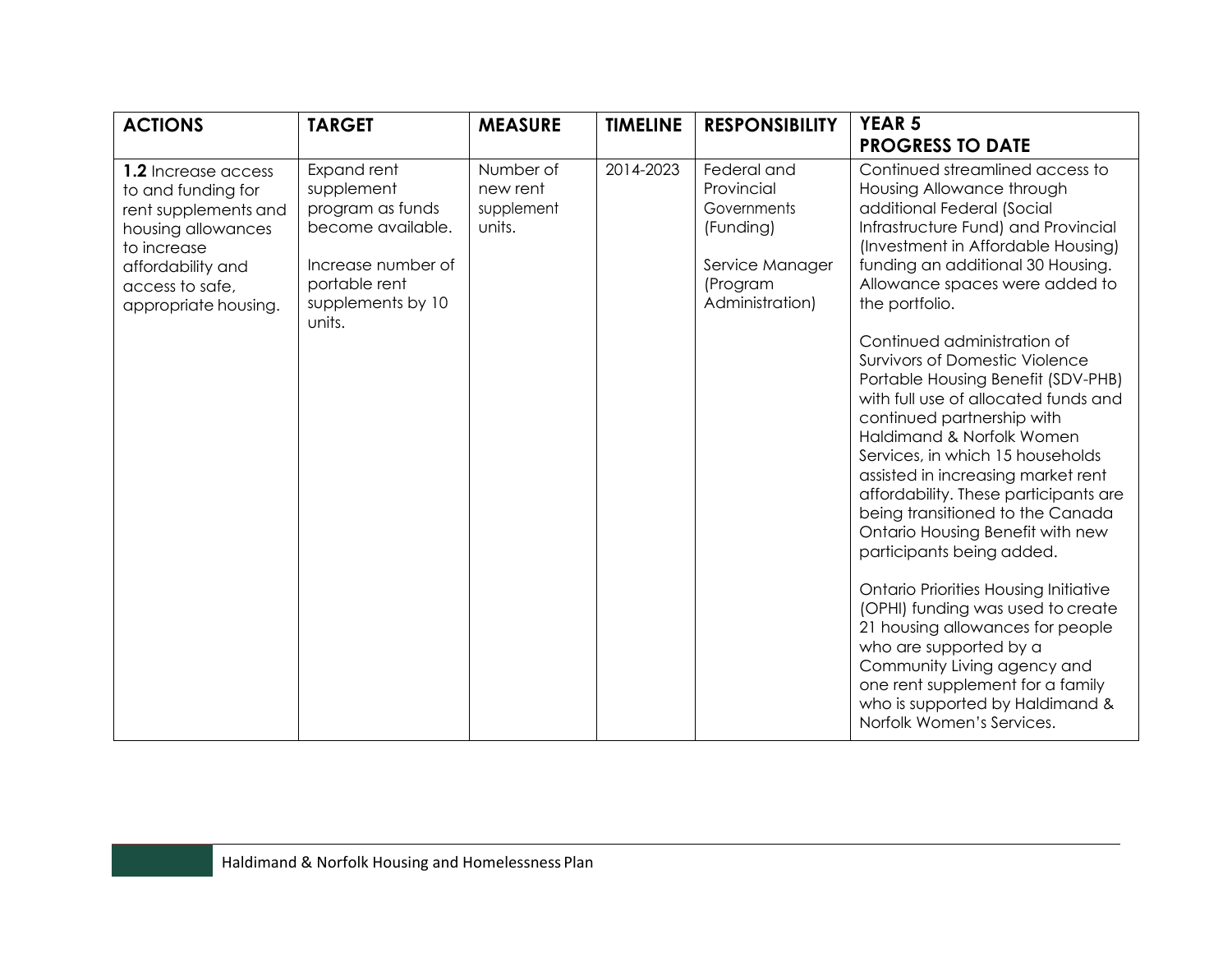| <b>ACTIONS</b>                                                                                                                                                         | <b>TARGET</b>                                                                                                                            | <b>MEASURE</b>                                | <b>TIMELINE</b> | <b>RESPONSIBILITY</b>                                                                                   | <b>YEAR 5</b><br><b>PROGRESS TO DATE</b>                                                                                                                                                                                                                                                                                                                                                                                                                                                                                                                                                                                                                                                                                                                                                                                                                                                                                                                                                        |
|------------------------------------------------------------------------------------------------------------------------------------------------------------------------|------------------------------------------------------------------------------------------------------------------------------------------|-----------------------------------------------|-----------------|---------------------------------------------------------------------------------------------------------|-------------------------------------------------------------------------------------------------------------------------------------------------------------------------------------------------------------------------------------------------------------------------------------------------------------------------------------------------------------------------------------------------------------------------------------------------------------------------------------------------------------------------------------------------------------------------------------------------------------------------------------------------------------------------------------------------------------------------------------------------------------------------------------------------------------------------------------------------------------------------------------------------------------------------------------------------------------------------------------------------|
| 1.2 Increase access<br>to and funding for<br>rent supplements and<br>housing allowances<br>to increase<br>affordability and<br>access to safe,<br>appropriate housing. | Expand rent<br>supplement<br>program as funds<br>become available.<br>Increase number of<br>portable rent<br>supplements by 10<br>units. | Number of<br>new rent<br>supplement<br>units. | 2014-2023       | Federal and<br>Provincial<br>Governments<br>(Funding)<br>Service Manager<br>(Program<br>Administration) | Continued streamlined access to<br>Housing Allowance through<br>additional Federal (Social<br>Infrastructure Fund) and Provincial<br>(Investment in Affordable Housing)<br>funding an additional 30 Housing.<br>Allowance spaces were added to<br>the portfolio.<br>Continued administration of<br><b>Survivors of Domestic Violence</b><br>Portable Housing Benefit (SDV-PHB)<br>with full use of allocated funds and<br>continued partnership with<br>Haldimand & Norfolk Women<br>Services, in which 15 households<br>assisted in increasing market rent<br>affordability. These participants are<br>being transitioned to the Canada<br>Ontario Housing Benefit with new<br>participants being added.<br><b>Ontario Priorities Housing Initiative</b><br>(OPHI) funding was used to create<br>21 housing allowances for people<br>who are supported by a<br>Community Living agency and<br>one rent supplement for a family<br>who is supported by Haldimand &<br>Norfolk Women's Services. |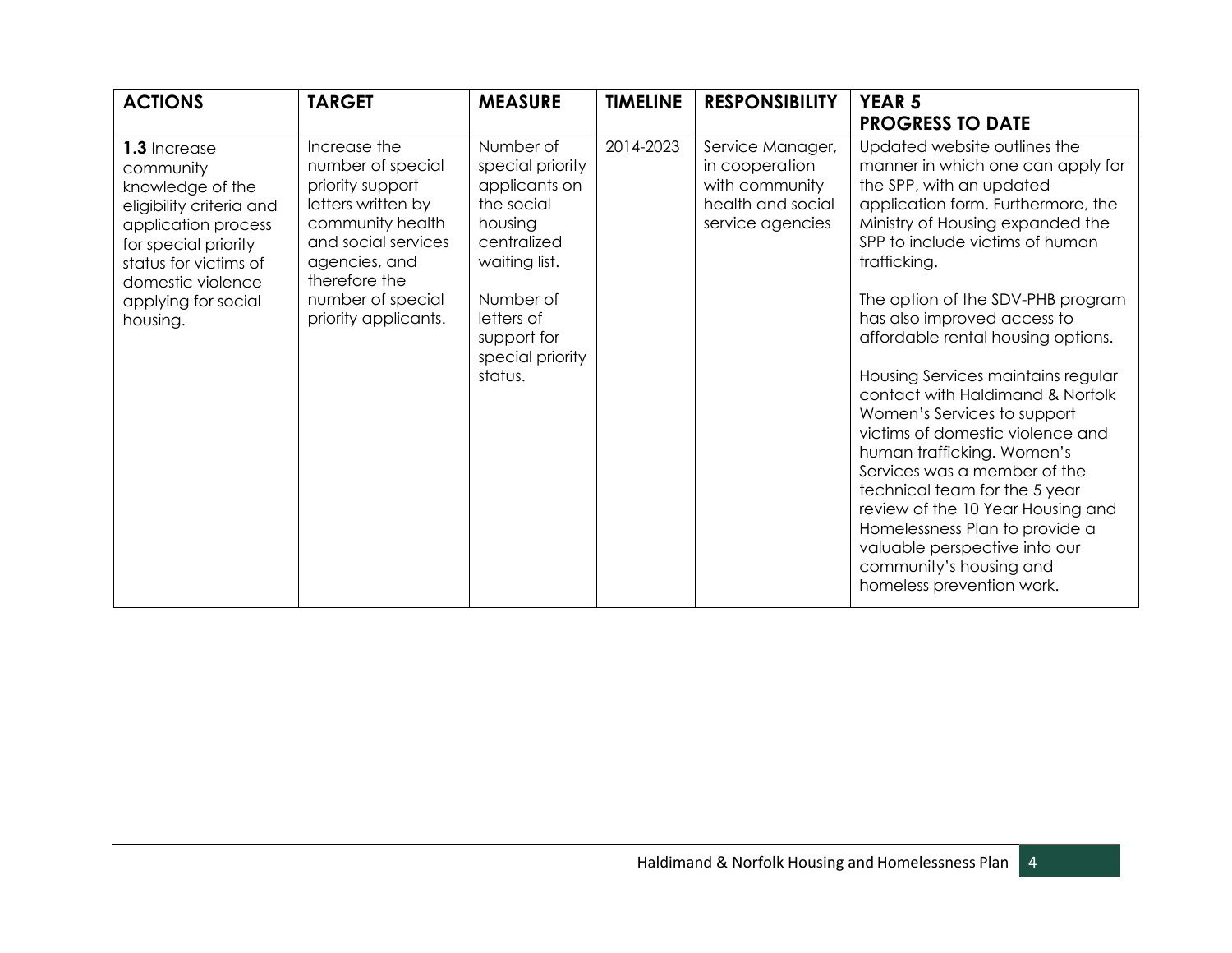| <b>ACTIONS</b>                                                                                                                                                                                            | <b>TARGET</b>                                                                                                                                                                                         | <b>MEASURE</b>                                                                                                                                                                   | <b>TIMELINE</b> | <b>RESPONSIBILITY</b>                                                                         | <b>YEAR 5</b><br><b>PROGRESS TO DATE</b>                                                                                                                                                                                                                                                                                                                                                                                                                                                                                                                                                                                                                                                                                                         |
|-----------------------------------------------------------------------------------------------------------------------------------------------------------------------------------------------------------|-------------------------------------------------------------------------------------------------------------------------------------------------------------------------------------------------------|----------------------------------------------------------------------------------------------------------------------------------------------------------------------------------|-----------------|-----------------------------------------------------------------------------------------------|--------------------------------------------------------------------------------------------------------------------------------------------------------------------------------------------------------------------------------------------------------------------------------------------------------------------------------------------------------------------------------------------------------------------------------------------------------------------------------------------------------------------------------------------------------------------------------------------------------------------------------------------------------------------------------------------------------------------------------------------------|
| 1.3 Increase<br>community<br>knowledge of the<br>eligibility criteria and<br>application process<br>for special priority<br>status for victims of<br>domestic violence<br>applying for social<br>housing. | Increase the<br>number of special<br>priority support<br>letters written by<br>community health<br>and social services<br>agencies, and<br>therefore the<br>number of special<br>priority applicants. | Number of<br>special priority<br>applicants on<br>the social<br>housing<br>centralized<br>waiting list.<br>Number of<br>letters of<br>support for<br>special priority<br>status. | 2014-2023       | Service Manager,<br>in cooperation<br>with community<br>health and social<br>service agencies | Updated website outlines the<br>manner in which one can apply for<br>the SPP, with an updated<br>application form. Furthermore, the<br>Ministry of Housing expanded the<br>SPP to include victims of human<br>trafficking.<br>The option of the SDV-PHB program<br>has also improved access to<br>affordable rental housing options.<br>Housing Services maintains regular<br>contact with Haldimand & Norfolk<br>Women's Services to support<br>victims of domestic violence and<br>human trafficking. Women's<br>Services was a member of the<br>technical team for the 5 year<br>review of the 10 Year Housing and<br>Homelessness Plan to provide a<br>valuable perspective into our<br>community's housing and<br>homeless prevention work. |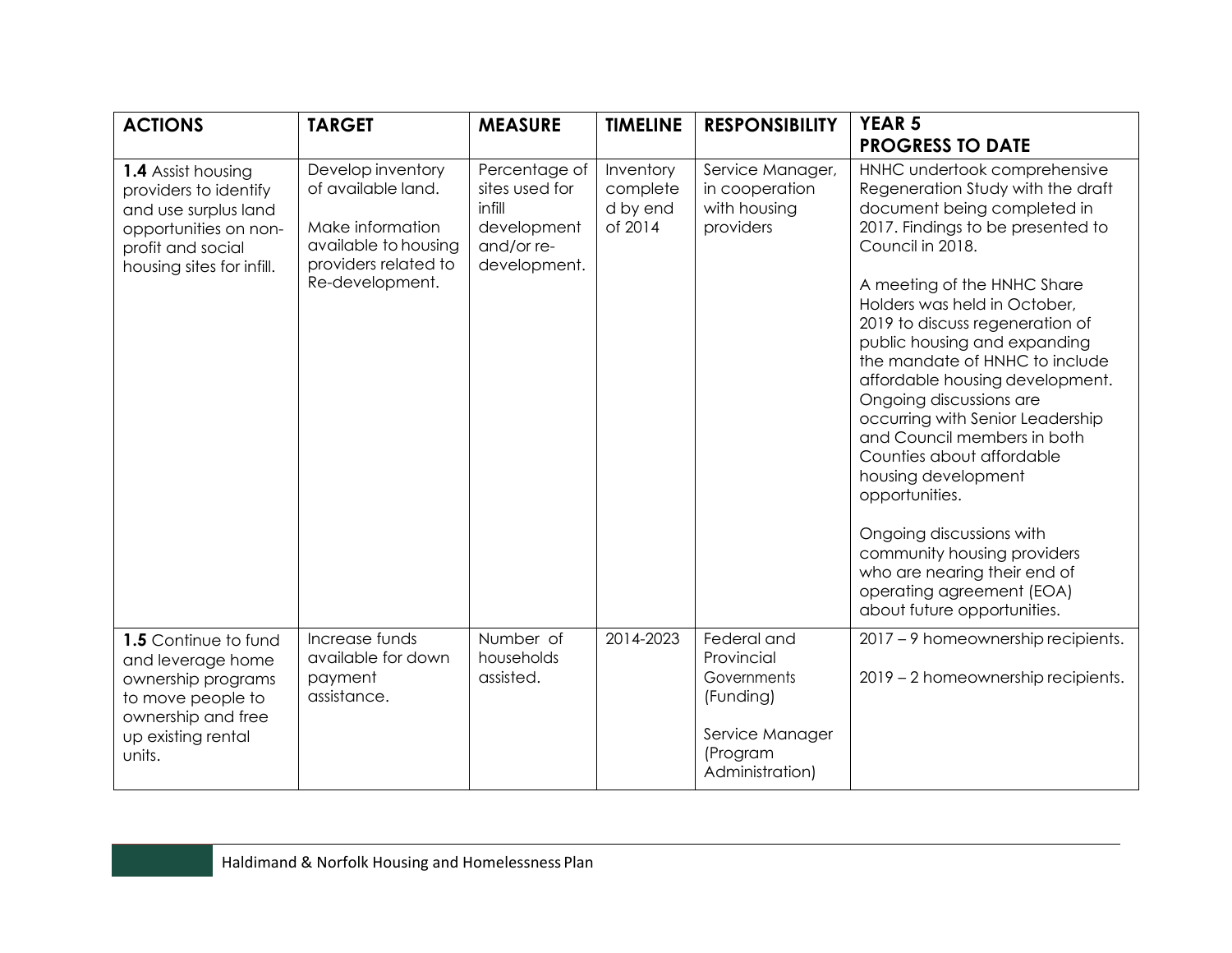| <b>ACTIONS</b>                                                                                                                                 | <b>TARGET</b>                                                                                                                  | <b>MEASURE</b>                                                                         | <b>TIMELINE</b>                              | <b>RESPONSIBILITY</b>                                                                                   | <b>YEAR 5</b><br><b>PROGRESS TO DATE</b>                                                                                                                                                                                                                                                                                                                                                                                                                                                                                                                                                                                                                                                    |
|------------------------------------------------------------------------------------------------------------------------------------------------|--------------------------------------------------------------------------------------------------------------------------------|----------------------------------------------------------------------------------------|----------------------------------------------|---------------------------------------------------------------------------------------------------------|---------------------------------------------------------------------------------------------------------------------------------------------------------------------------------------------------------------------------------------------------------------------------------------------------------------------------------------------------------------------------------------------------------------------------------------------------------------------------------------------------------------------------------------------------------------------------------------------------------------------------------------------------------------------------------------------|
| 1.4 Assist housing<br>providers to identify<br>and use surplus land<br>opportunities on non-<br>profit and social<br>housing sites for infill. | Develop inventory<br>of available land.<br>Make information<br>available to housing<br>providers related to<br>Re-development. | Percentage of<br>sites used for<br>infill<br>development<br>and/or re-<br>development. | Inventory<br>complete<br>d by end<br>of 2014 | Service Manager,<br>in cooperation<br>with housing<br>providers                                         | HNHC undertook comprehensive<br>Regeneration Study with the draft<br>document being completed in<br>2017. Findings to be presented to<br>Council in 2018.<br>A meeting of the HNHC Share<br>Holders was held in October,<br>2019 to discuss regeneration of<br>public housing and expanding<br>the mandate of HNHC to include<br>affordable housing development.<br>Ongoing discussions are<br>occurring with Senior Leadership<br>and Council members in both<br>Counties about affordable<br>housing development<br>opportunities.<br>Ongoing discussions with<br>community housing providers<br>who are nearing their end of<br>operating agreement (EOA)<br>about future opportunities. |
| 1.5 Continue to fund<br>and leverage home<br>ownership programs<br>to move people to<br>ownership and free<br>up existing rental<br>units.     | Increase funds<br>available for down<br>payment<br>assistance.                                                                 | Number of<br>households<br>assisted.                                                   | 2014-2023                                    | Federal and<br>Provincial<br>Governments<br>(Funding)<br>Service Manager<br>(Program<br>Administration) | 2017 - 9 homeownership recipients.<br>2019 - 2 homeownership recipients.                                                                                                                                                                                                                                                                                                                                                                                                                                                                                                                                                                                                                    |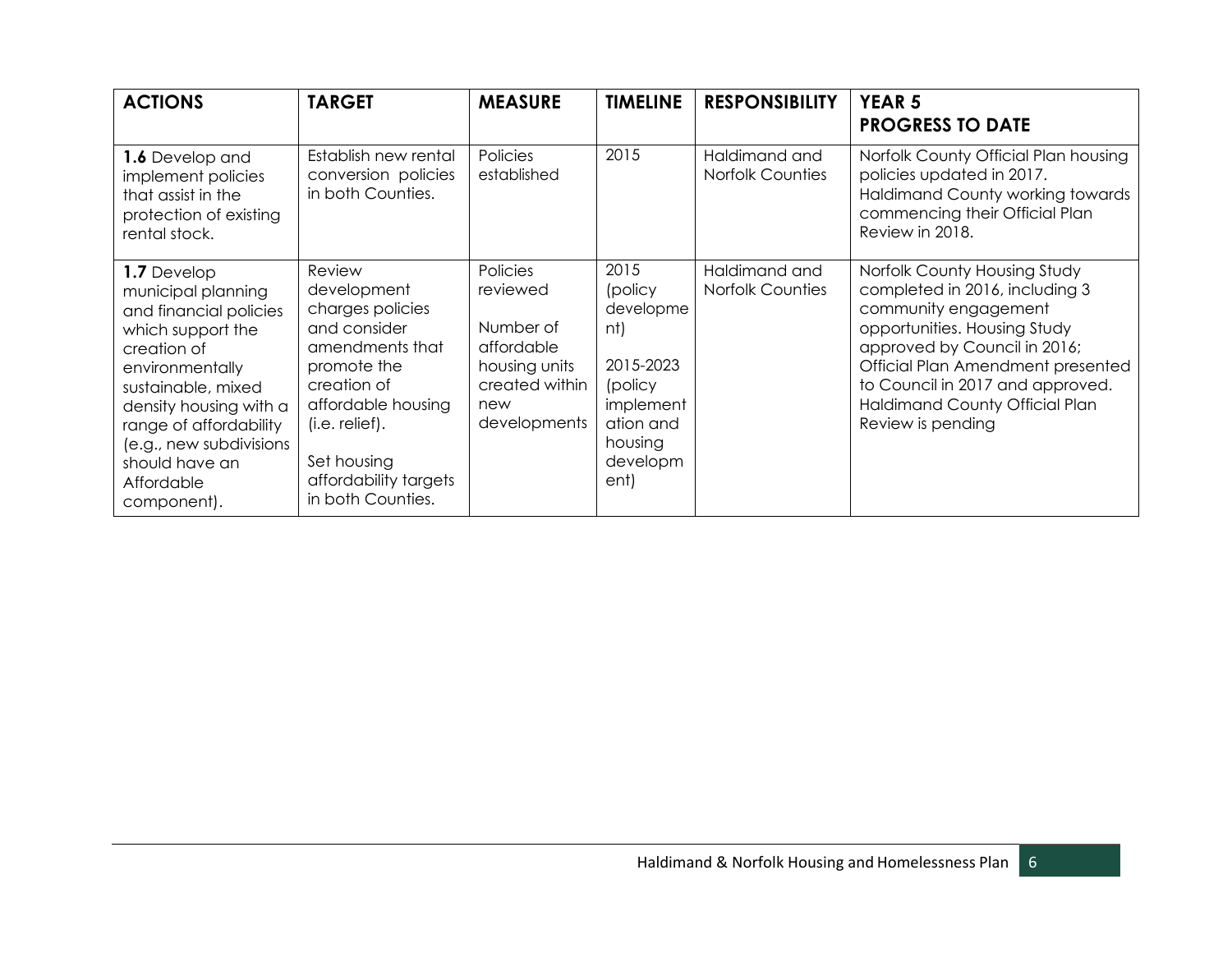| <b>ACTIONS</b>                                                                                                                                                                                                                                                         | <b>TARGET</b>                                                                                                                                                                                                     | <b>MEASURE</b>                                                                                            | <b>TIMELINE</b>                                                                                                      | <b>RESPONSIBILITY</b>                    | <b>YEAR 5</b><br><b>PROGRESS TO DATE</b>                                                                                                                                                                                                                                                      |
|------------------------------------------------------------------------------------------------------------------------------------------------------------------------------------------------------------------------------------------------------------------------|-------------------------------------------------------------------------------------------------------------------------------------------------------------------------------------------------------------------|-----------------------------------------------------------------------------------------------------------|----------------------------------------------------------------------------------------------------------------------|------------------------------------------|-----------------------------------------------------------------------------------------------------------------------------------------------------------------------------------------------------------------------------------------------------------------------------------------------|
| 1.6 Develop and<br>implement policies<br>that assist in the<br>protection of existing<br>rental stock.                                                                                                                                                                 | Establish new rental<br>conversion policies<br>in both Counties.                                                                                                                                                  | Policies<br>established                                                                                   | 2015                                                                                                                 | Haldimand and<br>Norfolk Counties        | Norfolk County Official Plan housing<br>policies updated in 2017.<br>Haldimand County working towards<br>commencing their Official Plan<br>Review in 2018.                                                                                                                                    |
| 1.7 Develop<br>municipal planning<br>and financial policies<br>which support the<br>creation of<br>environmentally<br>sustainable, mixed<br>density housing with a<br>range of affordability<br>(e.g., new subdivisions<br>should have an<br>Affordable<br>component). | Review<br>development<br>charges policies<br>and consider<br>amendments that<br>promote the<br>creation of<br>affordable housing<br>$(i.e.$ relief).<br>Set housing<br>affordability targets<br>in both Counties. | Policies<br>reviewed<br>Number of<br>affordable<br>housing units<br>created within<br>new<br>developments | 2015<br>(policy<br>developme<br>nt)<br>2015-2023<br>(policy<br>implement<br>ation and<br>housing<br>developm<br>ent) | Haldimand and<br><b>Norfolk Counties</b> | Norfolk County Housing Study<br>completed in 2016, including 3<br>community engagement<br>opportunities. Housing Study<br>approved by Council in 2016;<br>Official Plan Amendment presented<br>to Council in 2017 and approved.<br><b>Haldimand County Official Plan</b><br>Review is pending |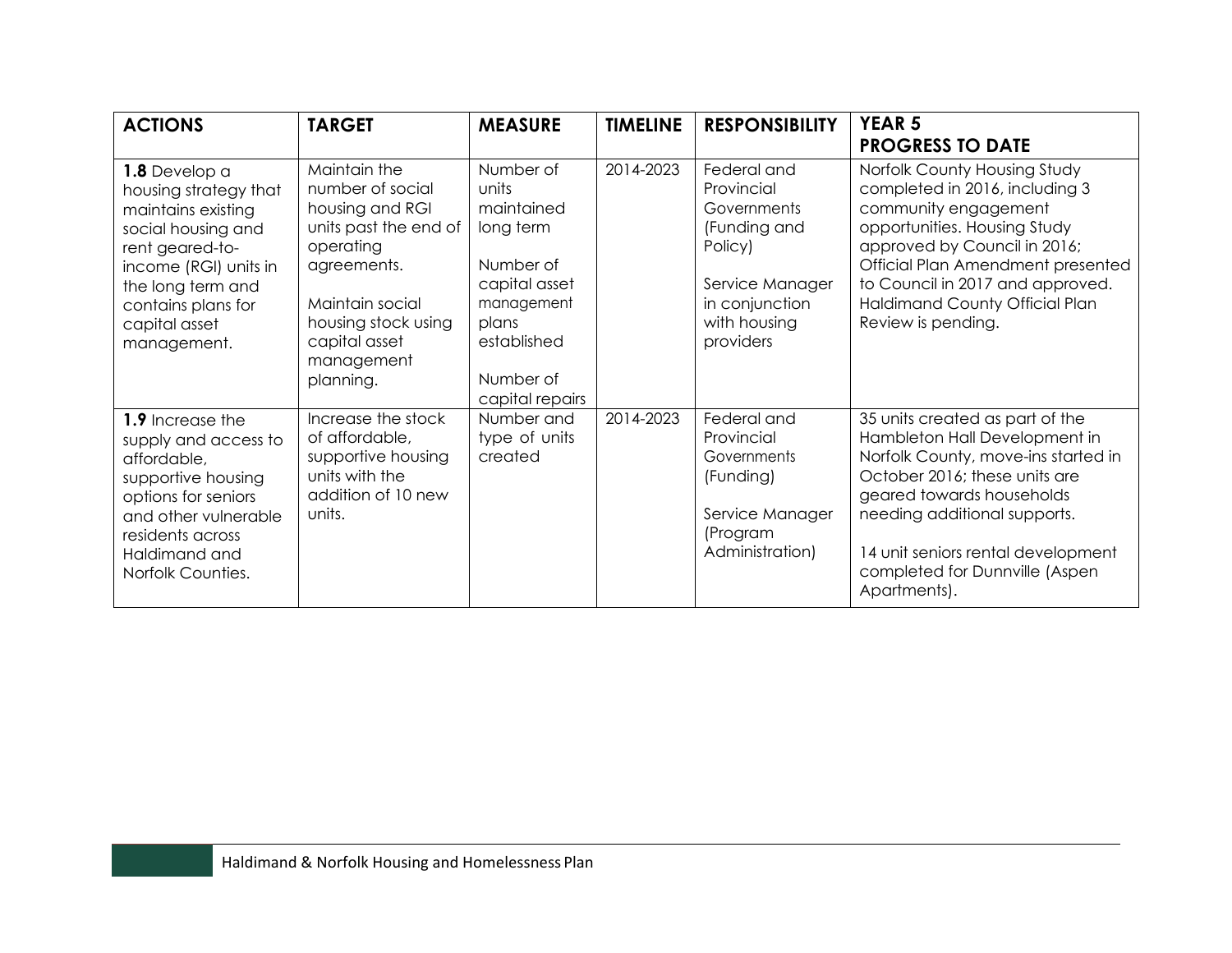| <b>ACTIONS</b>                                                                                                                                                                                            | <b>TARGET</b>                                                                                                                                                                                  | <b>MEASURE</b>                                                                                                                                    | <b>TIMELINE</b> | <b>RESPONSIBILITY</b>                                                                                                                 | <b>YEAR 5</b><br><b>PROGRESS TO DATE</b>                                                                                                                                                                                                                                                       |
|-----------------------------------------------------------------------------------------------------------------------------------------------------------------------------------------------------------|------------------------------------------------------------------------------------------------------------------------------------------------------------------------------------------------|---------------------------------------------------------------------------------------------------------------------------------------------------|-----------------|---------------------------------------------------------------------------------------------------------------------------------------|------------------------------------------------------------------------------------------------------------------------------------------------------------------------------------------------------------------------------------------------------------------------------------------------|
| 1.8 Develop a<br>housing strategy that<br>maintains existing<br>social housing and<br>rent geared-to-<br>income (RGI) units in<br>the long term and<br>contains plans for<br>capital asset<br>management. | Maintain the<br>number of social<br>housing and RGI<br>units past the end of<br>operating<br>agreements.<br>Maintain social<br>housing stock using<br>capital asset<br>management<br>planning. | Number of<br>units<br>maintained<br>long term<br>Number of<br>capital asset<br>management<br>plans<br>established<br>Number of<br>capital repairs | 2014-2023       | Federal and<br>Provincial<br>Governments<br>(Funding and<br>Policy)<br>Service Manager<br>in conjunction<br>with housing<br>providers | Norfolk County Housing Study<br>completed in 2016, including 3<br>community engagement<br>opportunities. Housing Study<br>approved by Council in 2016;<br>Official Plan Amendment presented<br>to Council in 2017 and approved.<br><b>Haldimand County Official Plan</b><br>Review is pending. |
| 1.9 Increase the<br>supply and access to<br>affordable,<br>supportive housing<br>options for seniors<br>and other vulnerable<br>residents across<br>Haldimand and<br>Norfolk Counties.                    | Increase the stock<br>of affordable,<br>supportive housing<br>units with the<br>addition of 10 new<br>units.                                                                                   | Number and<br>type of units<br>created                                                                                                            | 2014-2023       | Federal and<br>Provincial<br>Governments<br>(Funding)<br>Service Manager<br>(Program<br>Administration)                               | 35 units created as part of the<br>Hambleton Hall Development in<br>Norfolk County, move-ins started in<br>October 2016; these units are<br>geared towards households<br>needing additional supports.<br>14 unit seniors rental development<br>completed for Dunnville (Aspen<br>Apartments).  |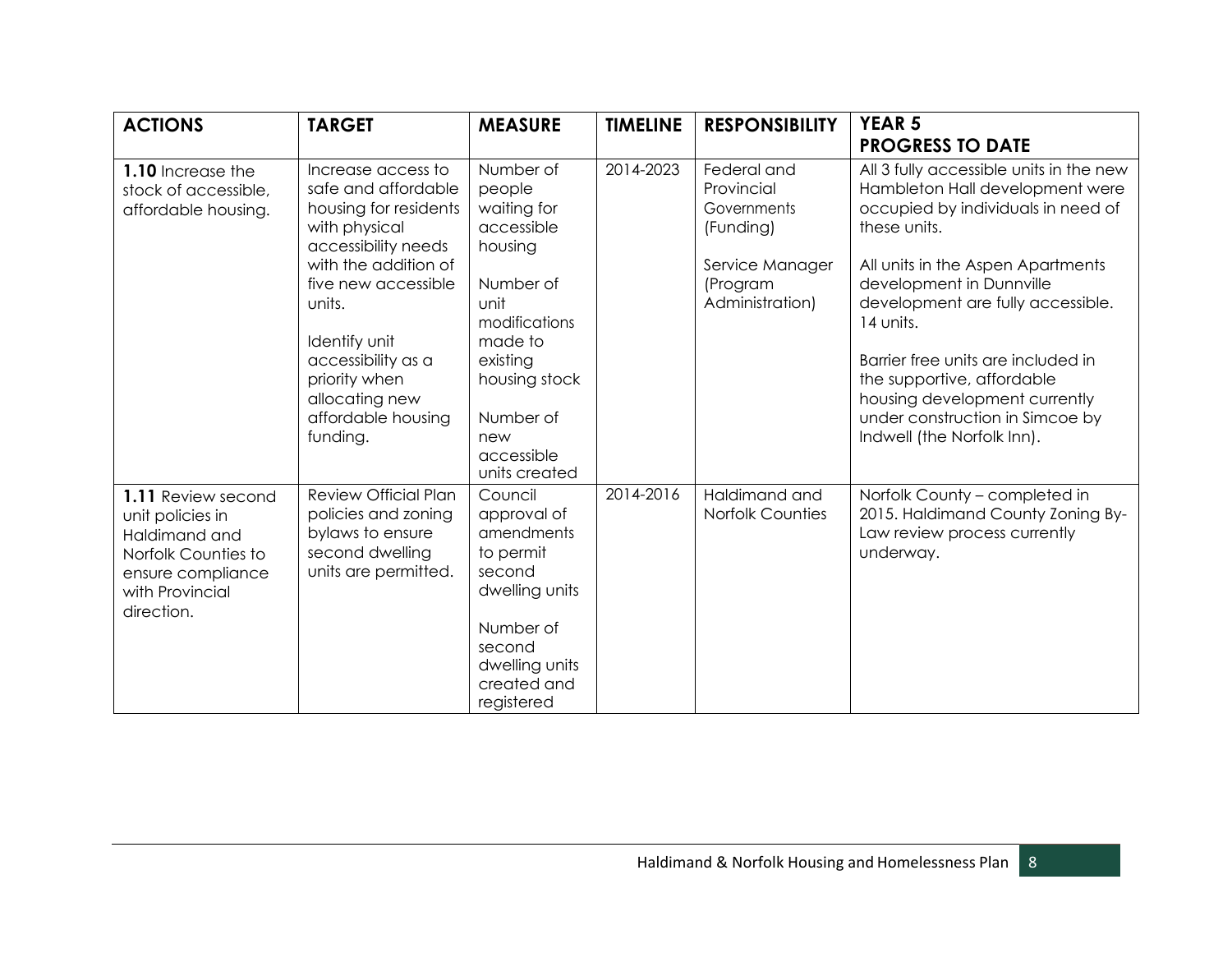| <b>ACTIONS</b>                                                                                                                       | <b>TARGET</b>                                                                                                                                                                                                                                                                   | <b>MEASURE</b>                                                                                                                                                                               | <b>TIMELINE</b> | <b>RESPONSIBILITY</b>                                                                                   | <b>YEAR 5</b><br><b>PROGRESS TO DATE</b>                                                                                                                                                                                                                                                                                                                                                                                  |
|--------------------------------------------------------------------------------------------------------------------------------------|---------------------------------------------------------------------------------------------------------------------------------------------------------------------------------------------------------------------------------------------------------------------------------|----------------------------------------------------------------------------------------------------------------------------------------------------------------------------------------------|-----------------|---------------------------------------------------------------------------------------------------------|---------------------------------------------------------------------------------------------------------------------------------------------------------------------------------------------------------------------------------------------------------------------------------------------------------------------------------------------------------------------------------------------------------------------------|
| 1.10 Increase the<br>stock of accessible,<br>affordable housing.                                                                     | Increase access to<br>safe and affordable<br>housing for residents<br>with physical<br>accessibility needs<br>with the addition of<br>five new accessible<br>units.<br>Identify unit<br>accessibility as a<br>priority when<br>allocating new<br>affordable housing<br>funding. | Number of<br>people<br>waiting for<br>accessible<br>housing<br>Number of<br>unit<br>modifications<br>made to<br>existing<br>housing stock<br>Number of<br>new<br>accessible<br>units created | 2014-2023       | Federal and<br>Provincial<br>Governments<br>(Funding)<br>Service Manager<br>(Program<br>Administration) | All 3 fully accessible units in the new<br>Hambleton Hall development were<br>occupied by individuals in need of<br>these units.<br>All units in the Aspen Apartments<br>development in Dunnville<br>development are fully accessible.<br>14 units.<br>Barrier free units are included in<br>the supportive, affordable<br>housing development currently<br>under construction in Simcoe by<br>Indwell (the Norfolk Inn). |
| 1.11 Review second<br>unit policies in<br>Haldimand and<br>Norfolk Counties to<br>ensure compliance<br>with Provincial<br>direction. | <b>Review Official Plan</b><br>policies and zoning<br>bylaws to ensure<br>second dwelling<br>units are permitted.                                                                                                                                                               | Council<br>approval of<br>amendments<br>to permit<br>second<br>dwelling units<br>Number of<br>second<br>dwelling units<br>created and<br>registered                                          | 2014-2016       | Haldimand and<br><b>Norfolk Counties</b>                                                                | Norfolk County - completed in<br>2015. Haldimand County Zoning By-<br>Law review process currently<br>underway.                                                                                                                                                                                                                                                                                                           |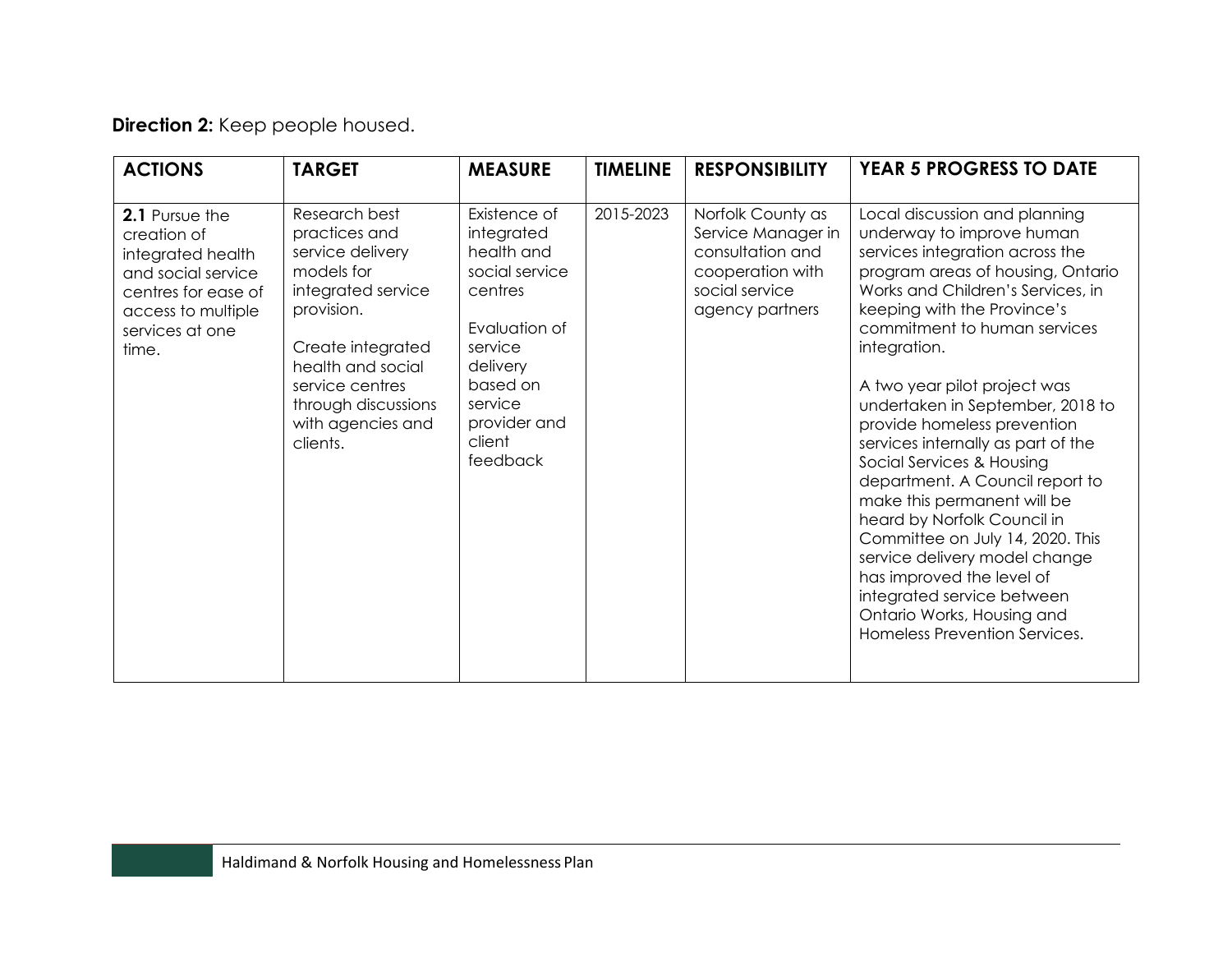## **Direction 2:** Keep people housed.

| <b>ACTIONS</b>                                                                                                                                    | <b>TARGET</b>                                                                                                                                                                                                             | <b>MEASURE</b>                                                                                                                                                             | <b>TIMELINE</b> | <b>RESPONSIBILITY</b>                                                                                                | <b>YEAR 5 PROGRESS TO DATE</b>                                                                                                                                                                                                                                                                                                                                                                                                                                                                                                                                                                                                                                                                                               |
|---------------------------------------------------------------------------------------------------------------------------------------------------|---------------------------------------------------------------------------------------------------------------------------------------------------------------------------------------------------------------------------|----------------------------------------------------------------------------------------------------------------------------------------------------------------------------|-----------------|----------------------------------------------------------------------------------------------------------------------|------------------------------------------------------------------------------------------------------------------------------------------------------------------------------------------------------------------------------------------------------------------------------------------------------------------------------------------------------------------------------------------------------------------------------------------------------------------------------------------------------------------------------------------------------------------------------------------------------------------------------------------------------------------------------------------------------------------------------|
| 2.1 Pursue the<br>creation of<br>integrated health<br>and social service<br>centres for ease of<br>access to multiple<br>services at one<br>time. | Research best<br>practices and<br>service delivery<br>models for<br>integrated service<br>provision.<br>Create integrated<br>health and social<br>service centres<br>through discussions<br>with agencies and<br>clients. | Existence of<br>integrated<br>health and<br>social service<br>centres<br>Evaluation of<br>service<br>delivery<br>based on<br>service<br>provider and<br>client<br>feedback | 2015-2023       | Norfolk County as<br>Service Manager in<br>consultation and<br>cooperation with<br>social service<br>agency partners | Local discussion and planning<br>underway to improve human<br>services integration across the<br>program areas of housing, Ontario<br>Works and Children's Services, in<br>keeping with the Province's<br>commitment to human services<br>integration.<br>A two year pilot project was<br>undertaken in September, 2018 to<br>provide homeless prevention<br>services internally as part of the<br>Social Services & Housing<br>department. A Council report to<br>make this permanent will be<br>heard by Norfolk Council in<br>Committee on July 14, 2020. This<br>service delivery model change<br>has improved the level of<br>integrated service between<br>Ontario Works, Housing and<br>Homeless Prevention Services. |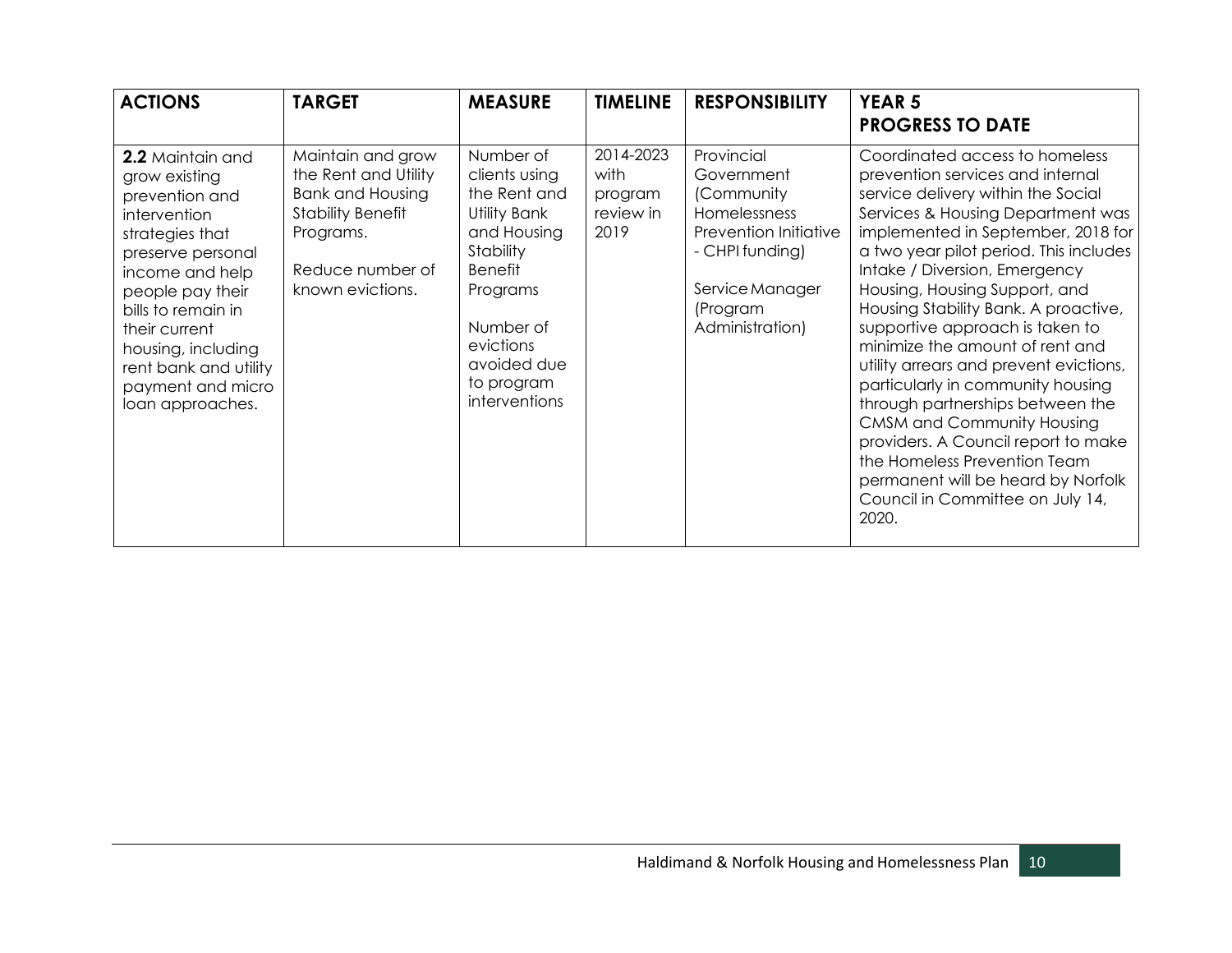| <b>ACTIONS</b>                                                                                                                                                                                                                                                                    | <b>TARGET</b>                                                                                                                                         | <b>MEASURE</b>                                                                                                                                                                               | <b>TIMELINE</b>                                   | <b>RESPONSIBILITY</b>                                                                                                                                | <b>YEAR 5</b><br><b>PROGRESS TO DATE</b>                                                                                                                                                                                                                                                                                                                                                                                                                                                                                                                                                                                                                                                                                        |
|-----------------------------------------------------------------------------------------------------------------------------------------------------------------------------------------------------------------------------------------------------------------------------------|-------------------------------------------------------------------------------------------------------------------------------------------------------|----------------------------------------------------------------------------------------------------------------------------------------------------------------------------------------------|---------------------------------------------------|------------------------------------------------------------------------------------------------------------------------------------------------------|---------------------------------------------------------------------------------------------------------------------------------------------------------------------------------------------------------------------------------------------------------------------------------------------------------------------------------------------------------------------------------------------------------------------------------------------------------------------------------------------------------------------------------------------------------------------------------------------------------------------------------------------------------------------------------------------------------------------------------|
| 2.2 Maintain and<br>grow existing<br>prevention and<br>intervention<br>strategies that<br>preserve personal<br>income and help<br>people pay their<br>bills to remain in<br>their current<br>housing, including<br>rent bank and utility<br>payment and micro<br>loan approaches. | Maintain and grow<br>the Rent and Utility<br><b>Bank and Housing</b><br><b>Stability Benefit</b><br>Programs.<br>Reduce number of<br>known evictions. | Number of<br>clients using<br>the Rent and<br>Utility Bank<br>and Housing<br>Stability<br><b>Benefit</b><br>Programs<br>Number of<br>evictions<br>avoided due<br>to program<br>interventions | 2014-2023<br>with<br>program<br>review in<br>2019 | Provincial<br>Government<br>(Community<br>Homelessness<br>Prevention Initiative<br>- CHPI funding)<br>Service Manager<br>(Program<br>Administration) | Coordinated access to homeless<br>prevention services and internal<br>service delivery within the Social<br>Services & Housing Department was<br>implemented in September, 2018 for<br>a two year pilot period. This includes<br>Intake / Diversion, Emergency<br>Housing, Housing Support, and<br>Housing Stability Bank. A proactive,<br>supportive approach is taken to<br>minimize the amount of rent and<br>utility arrears and prevent evictions,<br>particularly in community housing<br>through partnerships between the<br><b>CMSM and Community Housing</b><br>providers. A Council report to make<br>the Homeless Prevention Team<br>permanent will be heard by Norfolk<br>Council in Committee on July 14,<br>2020. |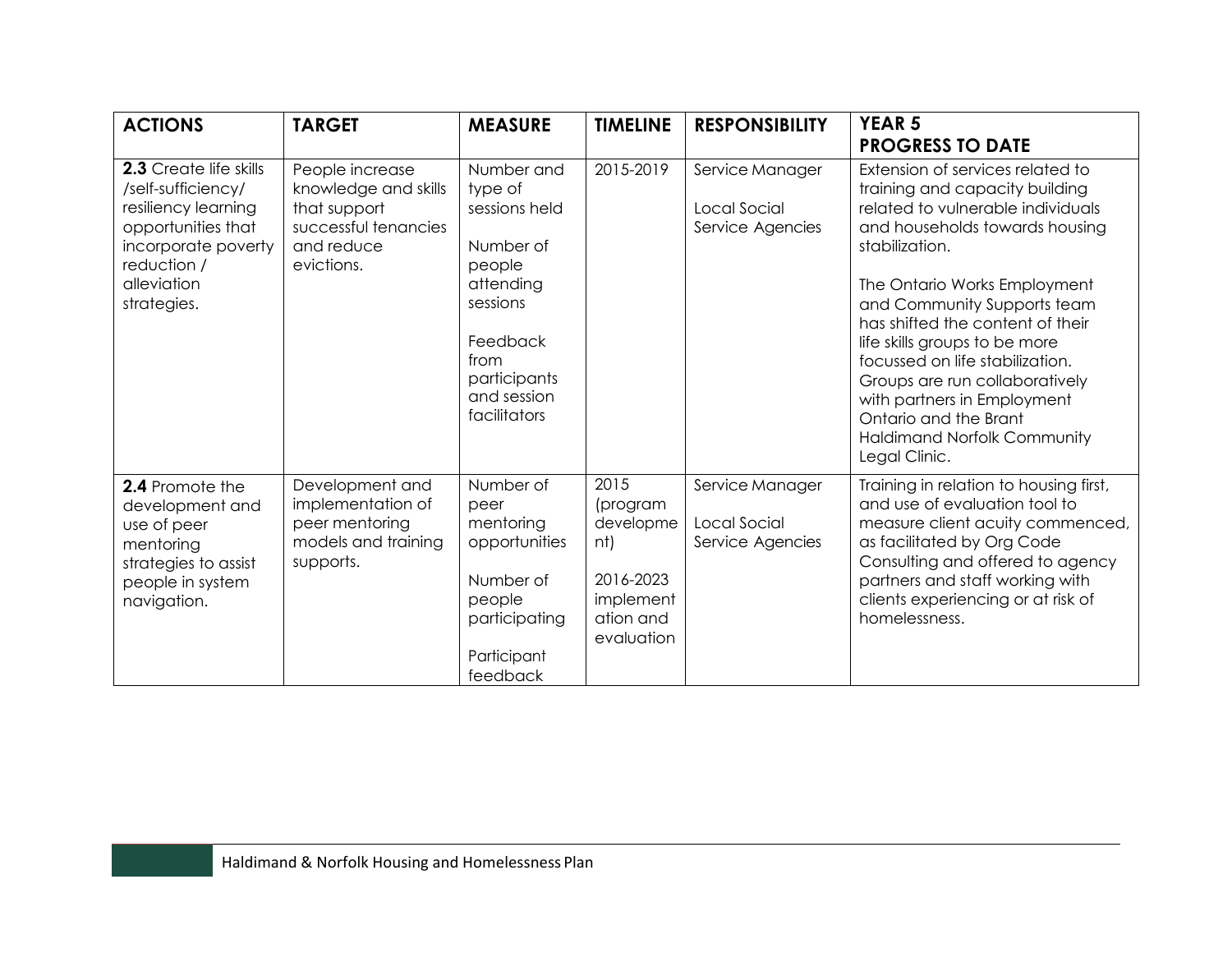| <b>ACTIONS</b>                                                                                                                                                | <b>TARGET</b>                                                                                               | <b>MEASURE</b>                                                                                                                                            | <b>TIMELINE</b>                                                                           | <b>RESPONSIBILITY</b>                               | <b>YEAR 5</b><br><b>PROGRESS TO DATE</b>                                                                                                                                                                                                                                                                                                                                                                                                                                            |
|---------------------------------------------------------------------------------------------------------------------------------------------------------------|-------------------------------------------------------------------------------------------------------------|-----------------------------------------------------------------------------------------------------------------------------------------------------------|-------------------------------------------------------------------------------------------|-----------------------------------------------------|-------------------------------------------------------------------------------------------------------------------------------------------------------------------------------------------------------------------------------------------------------------------------------------------------------------------------------------------------------------------------------------------------------------------------------------------------------------------------------------|
| 2.3 Create life skills<br>/self-sufficiency/<br>resiliency learning<br>opportunities that<br>incorporate poverty<br>reduction /<br>alleviation<br>strategies. | People increase<br>knowledge and skills<br>that support<br>successful tenancies<br>and reduce<br>evictions. | Number and<br>type of<br>sessions held<br>Number of<br>people<br>attending<br>sessions<br>Feedback<br>from<br>participants<br>and session<br>facilitators | 2015-2019                                                                                 | Service Manager<br>Local Social<br>Service Agencies | Extension of services related to<br>training and capacity building<br>related to vulnerable individuals<br>and households towards housing<br>stabilization.<br>The Ontario Works Employment<br>and Community Supports team<br>has shifted the content of their<br>life skills groups to be more<br>focussed on life stabilization.<br>Groups are run collaboratively<br>with partners in Employment<br>Ontario and the Brant<br><b>Haldimand Norfolk Community</b><br>Legal Clinic. |
| 2.4 Promote the<br>development and<br>use of peer<br>mentoring<br>strategies to assist<br>people in system<br>navigation.                                     | Development and<br>implementation of<br>peer mentoring<br>models and training<br>supports.                  | Number of<br>peer<br>mentoring<br>opportunities<br>Number of<br>people<br>participating<br>Participant<br>feedback                                        | 2015<br>(program<br>developme<br>nt)<br>2016-2023<br>implement<br>ation and<br>evaluation | Service Manager<br>Local Social<br>Service Agencies | Training in relation to housing first,<br>and use of evaluation tool to<br>measure client acuity commenced,<br>as facilitated by Org Code<br>Consulting and offered to agency<br>partners and staff working with<br>clients experiencing or at risk of<br>homelessness.                                                                                                                                                                                                             |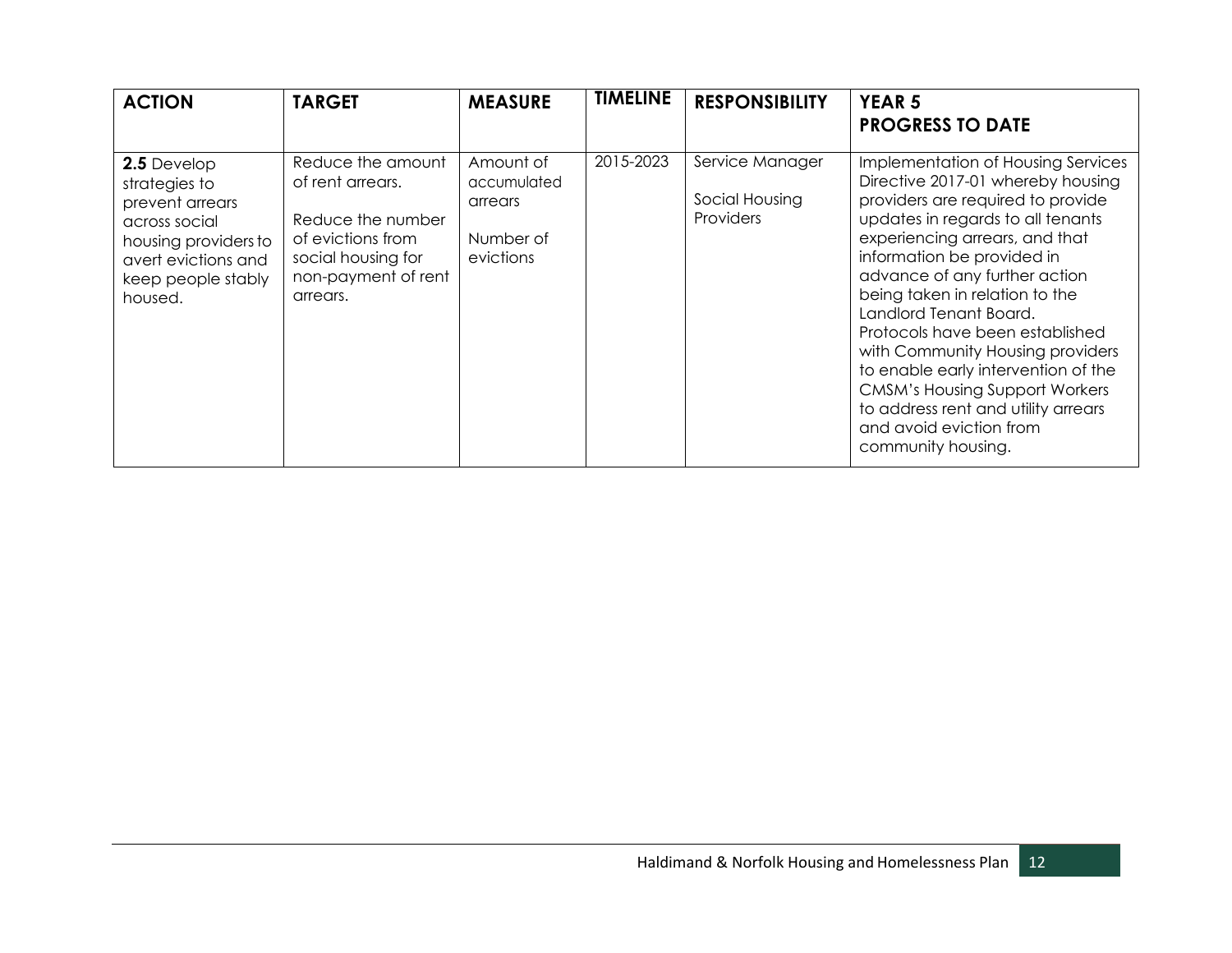| <b>ACTION</b>                                                                                                                                    | <b>TARGET</b>                                                                                                                            | <b>MEASURE</b>                                                | <b>TIMELINE</b> | <b>RESPONSIBILITY</b>                                 | <b>YEAR 5</b><br><b>PROGRESS TO DATE</b>                                                                                                                                                                                                                                                                                                                                                                                                                                                                                                                      |
|--------------------------------------------------------------------------------------------------------------------------------------------------|------------------------------------------------------------------------------------------------------------------------------------------|---------------------------------------------------------------|-----------------|-------------------------------------------------------|---------------------------------------------------------------------------------------------------------------------------------------------------------------------------------------------------------------------------------------------------------------------------------------------------------------------------------------------------------------------------------------------------------------------------------------------------------------------------------------------------------------------------------------------------------------|
| 2.5 Develop<br>strategies to<br>prevent arrears<br>across social<br>housing providers to<br>avert evictions and<br>keep people stably<br>housed. | Reduce the amount<br>of rent arrears.<br>Reduce the number<br>of evictions from<br>social housing for<br>non-payment of rent<br>arrears. | Amount of<br>accumulated<br>arrears<br>Number of<br>evictions | 2015-2023       | Service Manager<br>Social Housing<br><b>Providers</b> | Implementation of Housing Services<br>Directive 2017-01 whereby housing<br>providers are required to provide<br>updates in regards to all tenants<br>experiencing arrears, and that<br>information be provided in<br>advance of any further action<br>being taken in relation to the<br>Landlord Tenant Board.<br>Protocols have been established<br>with Community Housing providers<br>to enable early intervention of the<br><b>CMSM's Housing Support Workers</b><br>to address rent and utility arrears<br>and avoid eviction from<br>community housing. |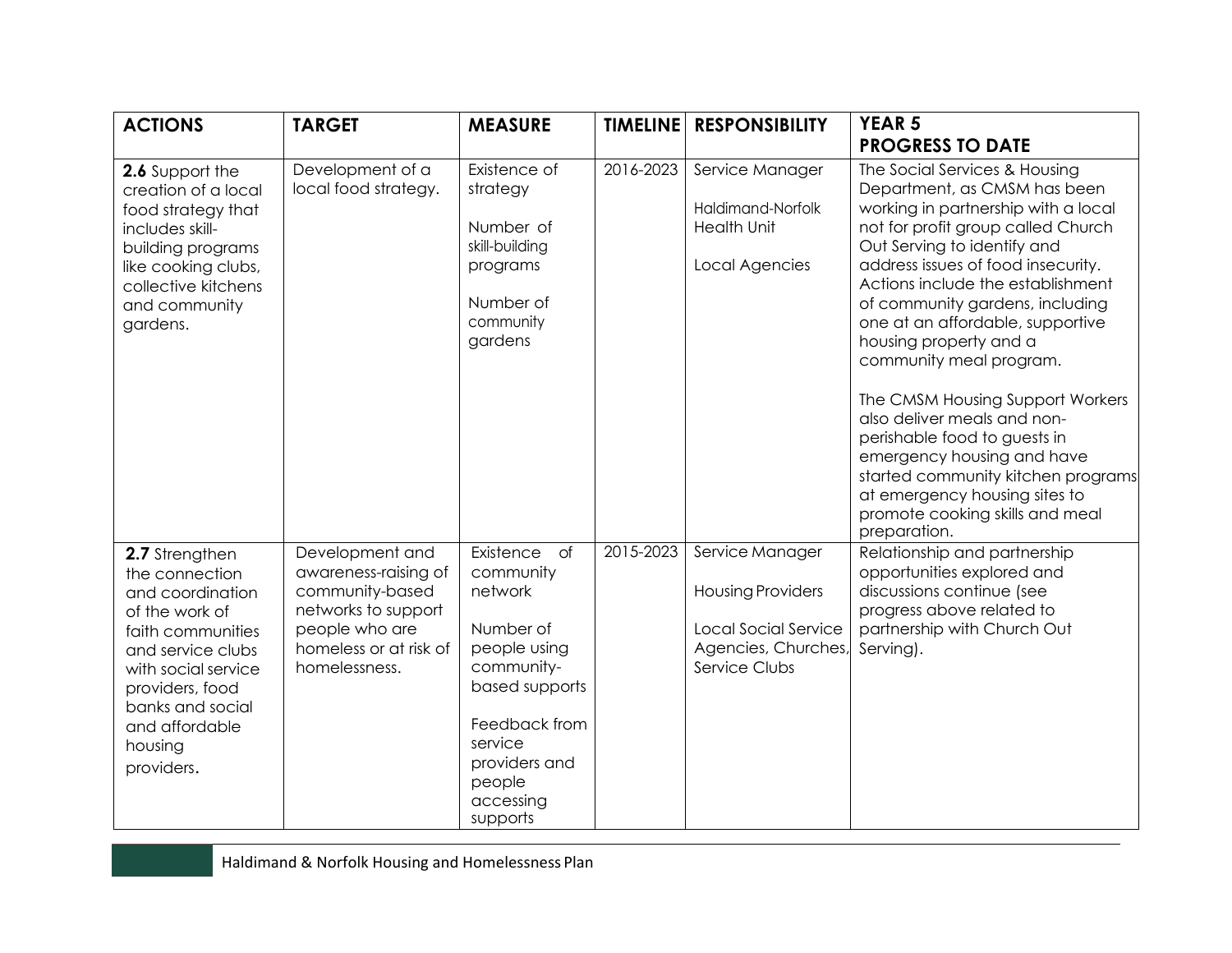| <b>ACTIONS</b>                                                                                                                                                                                                            | <b>TARGET</b>                                                                                                                                  | <b>MEASURE</b>                                                                                                                                                                            |           | <b>TIMELINE RESPONSIBILITY</b>                                                                                     | <b>YEAR 5</b><br><b>PROGRESS TO DATE</b>                                                                                                                                                                                                                                                                                                                                                                                                                                                                                                                                                                                                    |
|---------------------------------------------------------------------------------------------------------------------------------------------------------------------------------------------------------------------------|------------------------------------------------------------------------------------------------------------------------------------------------|-------------------------------------------------------------------------------------------------------------------------------------------------------------------------------------------|-----------|--------------------------------------------------------------------------------------------------------------------|---------------------------------------------------------------------------------------------------------------------------------------------------------------------------------------------------------------------------------------------------------------------------------------------------------------------------------------------------------------------------------------------------------------------------------------------------------------------------------------------------------------------------------------------------------------------------------------------------------------------------------------------|
| 2.6 Support the<br>creation of a local<br>food strategy that<br>includes skill-<br>building programs<br>like cooking clubs,<br>collective kitchens<br>and community<br>gardens.                                           | Development of a<br>local food strategy.                                                                                                       | Existence of<br>strategy<br>Number of<br>skill-building<br>programs<br>Number of<br>community<br>gardens                                                                                  | 2016-2023 | Service Manager<br>Haldimand-Norfolk<br><b>Health Unit</b><br>Local Agencies                                       | The Social Services & Housing<br>Department, as CMSM has been<br>working in partnership with a local<br>not for profit group called Church<br>Out Serving to identify and<br>address issues of food insecurity.<br>Actions include the establishment<br>of community gardens, including<br>one at an affordable, supportive<br>housing property and a<br>community meal program.<br>The CMSM Housing Support Workers<br>also deliver meals and non-<br>perishable food to guests in<br>emergency housing and have<br>started community kitchen programs<br>at emergency housing sites to<br>promote cooking skills and meal<br>preparation. |
| 2.7 Strengthen<br>the connection<br>and coordination<br>of the work of<br>faith communities<br>and service clubs<br>with social service<br>providers, food<br>banks and social<br>and affordable<br>housing<br>providers. | Development and<br>awareness-raising of<br>community-based<br>networks to support<br>people who are<br>homeless or at risk of<br>homelessness. | Existence<br>$\circ$<br>community<br>network<br>Number of<br>people using<br>community-<br>based supports<br>Feedback from<br>service<br>providers and<br>people<br>accessing<br>supports | 2015-2023 | Service Manager<br><b>Housing Providers</b><br><b>Local Social Service</b><br>Agencies, Churches,<br>Service Clubs | Relationship and partnership<br>opportunities explored and<br>discussions continue (see<br>progress above related to<br>partnership with Church Out<br>Serving).                                                                                                                                                                                                                                                                                                                                                                                                                                                                            |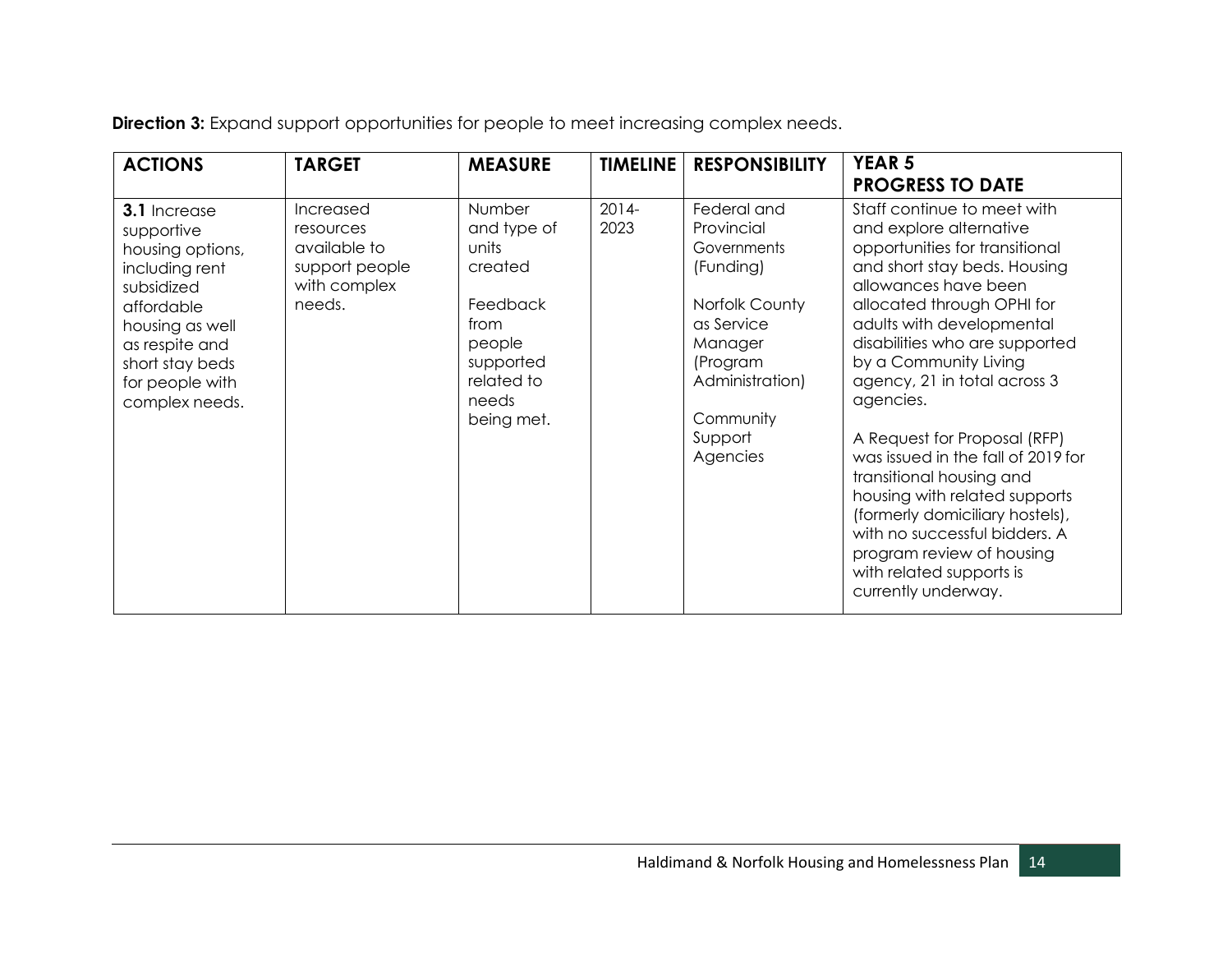**Direction 3:** Expand support opportunities for people to meet increasing complex needs.

| <b>ACTIONS</b>                                                                                                                                                                            | <b>TARGET</b>                                                                      | <b>MEASURE</b>                                                                                                            | <b>TIMELINE</b>  | <b>RESPONSIBILITY</b>                                                                                                                                               | <b>YEAR 5</b><br><b>PROGRESS TO DATE</b>                                                                                                                                                                                                                                                                                                                                                                                                                                                                                                                                                                   |
|-------------------------------------------------------------------------------------------------------------------------------------------------------------------------------------------|------------------------------------------------------------------------------------|---------------------------------------------------------------------------------------------------------------------------|------------------|---------------------------------------------------------------------------------------------------------------------------------------------------------------------|------------------------------------------------------------------------------------------------------------------------------------------------------------------------------------------------------------------------------------------------------------------------------------------------------------------------------------------------------------------------------------------------------------------------------------------------------------------------------------------------------------------------------------------------------------------------------------------------------------|
| 3.1 Increase<br>supportive<br>housing options,<br>including rent<br>subsidized<br>affordable<br>housing as well<br>as respite and<br>short stay beds<br>for people with<br>complex needs. | Increased<br>resources<br>available to<br>support people<br>with complex<br>needs. | Number<br>and type of<br>units<br>created<br>Feedback<br>from<br>people<br>supported<br>related to<br>needs<br>being met. | $2014 -$<br>2023 | Federal and<br>Provincial<br>Governments<br>(Funding)<br>Norfolk County<br>as Service<br>Manager<br>(Program<br>Administration)<br>Community<br>Support<br>Agencies | Staff continue to meet with<br>and explore alternative<br>opportunities for transitional<br>and short stay beds. Housing<br>allowances have been<br>allocated through OPHI for<br>adults with developmental<br>disabilities who are supported<br>by a Community Living<br>agency, 21 in total across 3<br>agencies.<br>A Request for Proposal (RFP)<br>was issued in the fall of 2019 for<br>transitional housing and<br>housing with related supports<br>(formerly domiciliary hostels),<br>with no successful bidders. A<br>program review of housing<br>with related supports is<br>currently underway. |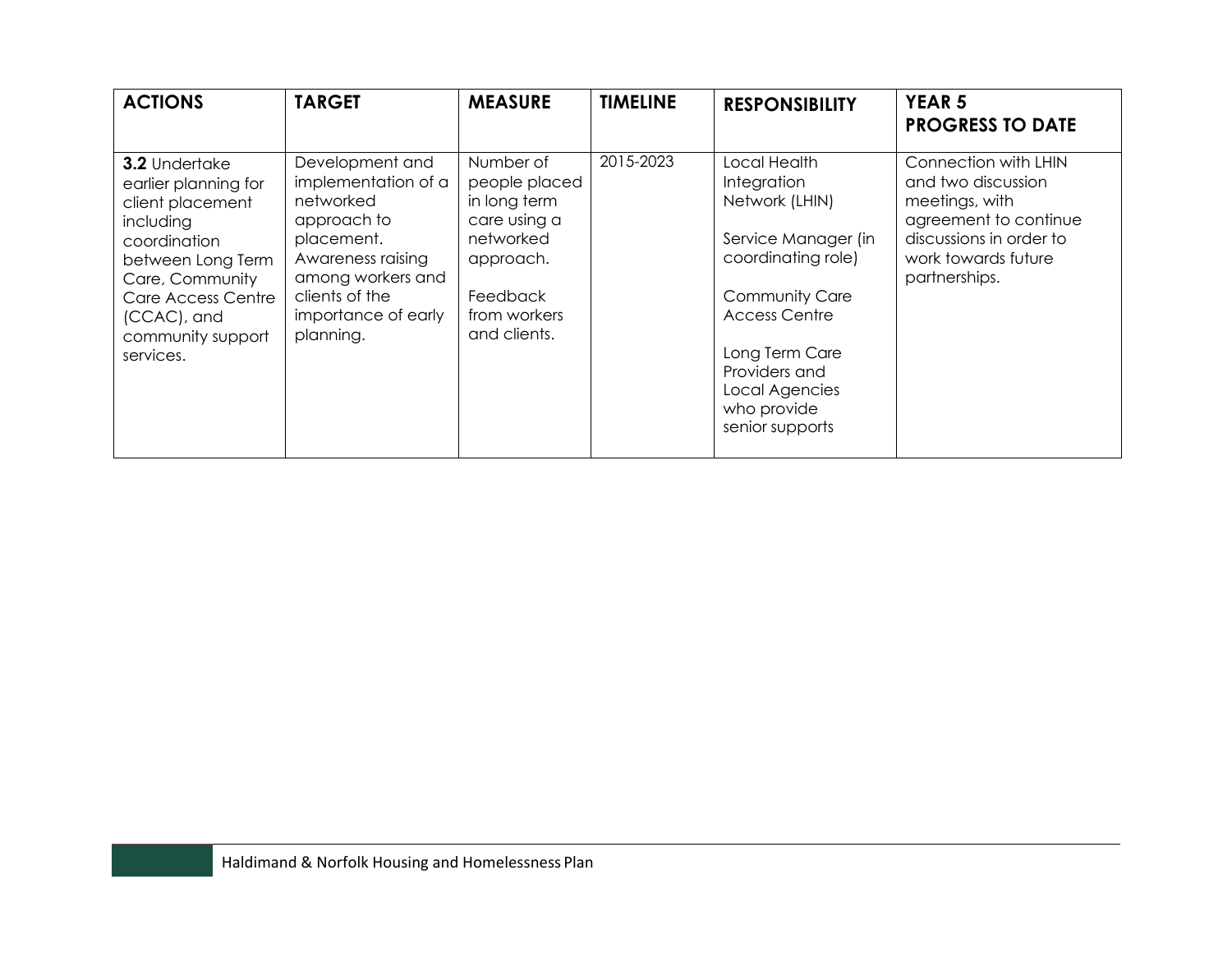| <b>ACTIONS</b>                                                                                                                                                                                        | <b>TARGET</b>                                                                                                                                                                    | <b>MEASURE</b>                                                                                                                   | <b>TIMELINE</b> | <b>RESPONSIBILITY</b>                                                                                                                                                                                                              | <b>YEAR 5</b><br><b>PROGRESS TO DATE</b>                                                                                                                 |
|-------------------------------------------------------------------------------------------------------------------------------------------------------------------------------------------------------|----------------------------------------------------------------------------------------------------------------------------------------------------------------------------------|----------------------------------------------------------------------------------------------------------------------------------|-----------------|------------------------------------------------------------------------------------------------------------------------------------------------------------------------------------------------------------------------------------|----------------------------------------------------------------------------------------------------------------------------------------------------------|
| 3.2 Undertake<br>earlier planning for<br>client placement<br>including<br>coordination<br>between Long Term<br>Care, Community<br>Care Access Centre<br>(CCAC), and<br>community support<br>services. | Development and<br>implementation of a<br>networked<br>approach to<br>placement.<br>Awareness raising<br>among workers and<br>clients of the<br>importance of early<br>planning. | Number of<br>people placed<br>in long term<br>care using a<br>networked<br>approach.<br>Feedback<br>from workers<br>and clients. | 2015-2023       | Local Health<br>Integration<br>Network (LHIN)<br>Service Manager (in<br>coordinating role)<br><b>Community Care</b><br><b>Access Centre</b><br>Long Term Care<br>Providers and<br>Local Agencies<br>who provide<br>senior supports | Connection with LHIN<br>and two discussion<br>meetings, with<br>agreement to continue<br>discussions in order to<br>work towards future<br>partnerships. |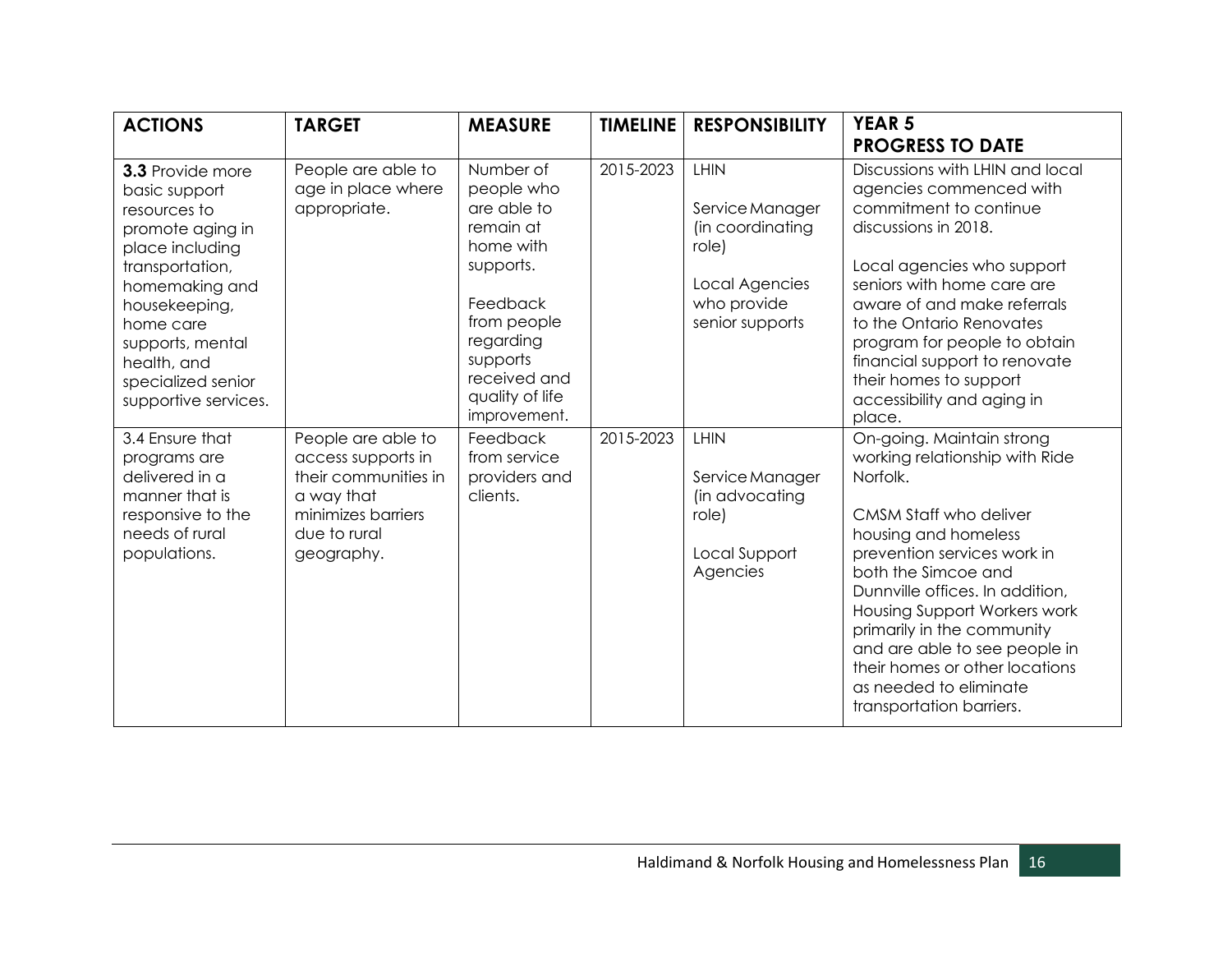| <b>ACTIONS</b>                                                                                                                                                                                                                               | <b>TARGET</b>                                                                                                                      | <b>MEASURE</b>                                                                                                                                                                       | <b>TIMELINE</b> | <b>RESPONSIBILITY</b>                                                                                           | <b>YEAR 5</b><br><b>PROGRESS TO DATE</b>                                                                                                                                                                                                                                                                                                                                                                  |
|----------------------------------------------------------------------------------------------------------------------------------------------------------------------------------------------------------------------------------------------|------------------------------------------------------------------------------------------------------------------------------------|--------------------------------------------------------------------------------------------------------------------------------------------------------------------------------------|-----------------|-----------------------------------------------------------------------------------------------------------------|-----------------------------------------------------------------------------------------------------------------------------------------------------------------------------------------------------------------------------------------------------------------------------------------------------------------------------------------------------------------------------------------------------------|
| 3.3 Provide more<br>basic support<br>resources to<br>promote aging in<br>place including<br>transportation,<br>homemaking and<br>housekeeping,<br>home care<br>supports, mental<br>health, and<br>specialized senior<br>supportive services. | People are able to<br>age in place where<br>appropriate.                                                                           | Number of<br>people who<br>are able to<br>remain at<br>home with<br>supports.<br>Feedback<br>from people<br>regarding<br>supports<br>received and<br>quality of life<br>improvement. | 2015-2023       | <b>LHIN</b><br>Service Manager<br>(in coordinating<br>role)<br>Local Agencies<br>who provide<br>senior supports | Discussions with LHIN and local<br>agencies commenced with<br>commitment to continue<br>discussions in 2018.<br>Local agencies who support<br>seniors with home care are<br>aware of and make referrals<br>to the Ontario Renovates<br>program for people to obtain<br>financial support to renovate<br>their homes to support<br>accessibility and aging in<br>place.                                    |
| 3.4 Ensure that<br>programs are<br>delivered in a<br>manner that is<br>responsive to the<br>needs of rural<br>populations.                                                                                                                   | People are able to<br>access supports in<br>their communities in<br>a way that<br>minimizes barriers<br>due to rural<br>geography. | Feedback<br>from service<br>providers and<br>clients.                                                                                                                                | 2015-2023       | LHIN<br>Service Manager<br>(in advocating<br>role)<br>Local Support<br>Agencies                                 | On-going. Maintain strong<br>working relationship with Ride<br>Norfolk.<br>CMSM Staff who deliver<br>housing and homeless<br>prevention services work in<br>both the Simcoe and<br>Dunnville offices. In addition,<br>Housing Support Workers work<br>primarily in the community<br>and are able to see people in<br>their homes or other locations<br>as needed to eliminate<br>transportation barriers. |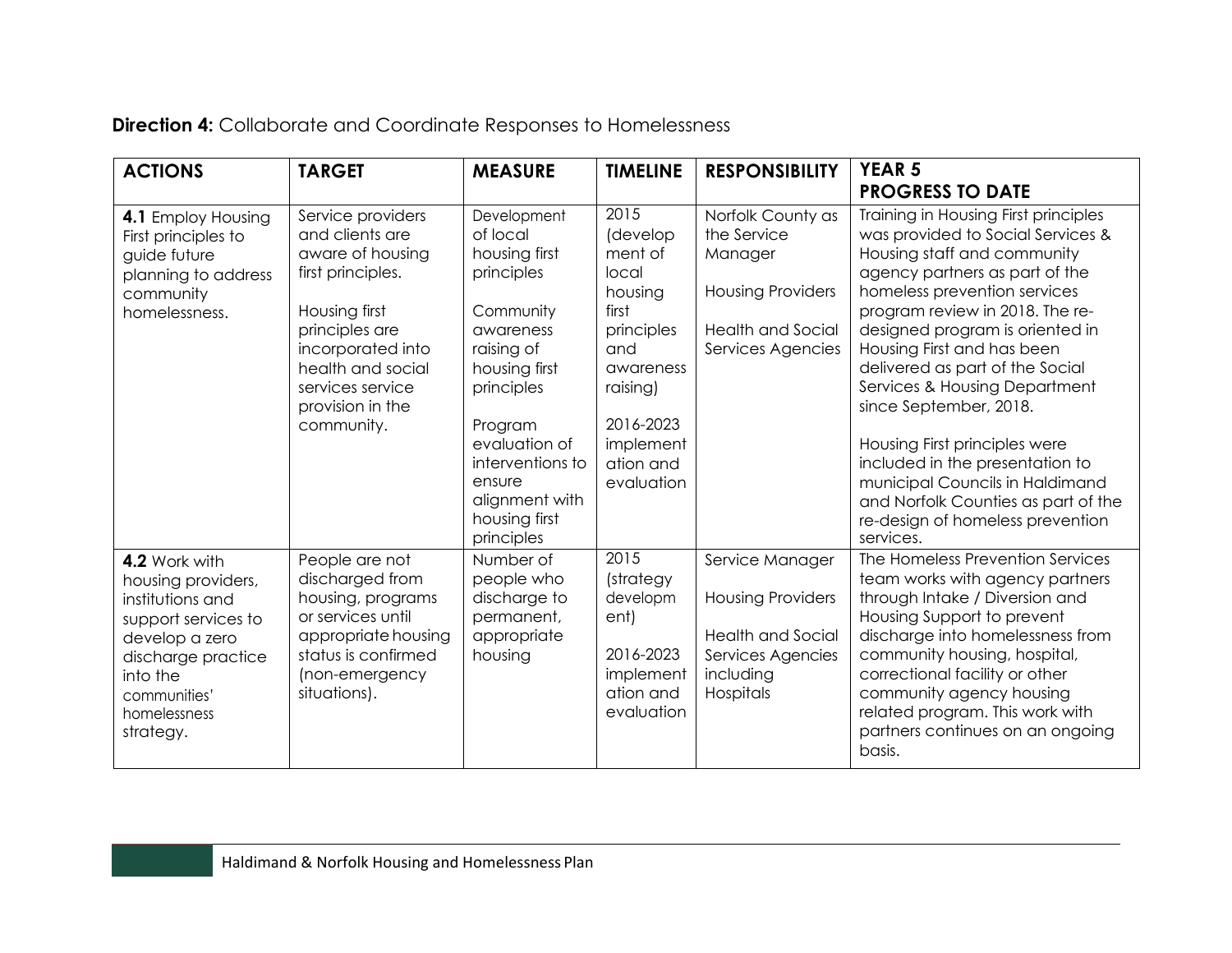| <b>Direction 4:</b> Collaborate and Coordinate Responses to Homelessness |
|--------------------------------------------------------------------------|
|--------------------------------------------------------------------------|

| <b>ACTIONS</b>                                                                                                                                                                  | <b>TARGET</b>                                                                                                                                                                                                    | <b>MEASURE</b>                                                                                                                                                                                                                           | <b>TIMELINE</b>                                                                                                                                             | <b>RESPONSIBILITY</b>                                                                                                    | <b>YEAR 5</b><br><b>PROGRESS TO DATE</b>                                                                                                                                                                                                                                                                                                                                                                                                                                                                                                                                    |
|---------------------------------------------------------------------------------------------------------------------------------------------------------------------------------|------------------------------------------------------------------------------------------------------------------------------------------------------------------------------------------------------------------|------------------------------------------------------------------------------------------------------------------------------------------------------------------------------------------------------------------------------------------|-------------------------------------------------------------------------------------------------------------------------------------------------------------|--------------------------------------------------------------------------------------------------------------------------|-----------------------------------------------------------------------------------------------------------------------------------------------------------------------------------------------------------------------------------------------------------------------------------------------------------------------------------------------------------------------------------------------------------------------------------------------------------------------------------------------------------------------------------------------------------------------------|
| 4.1 Employ Housing<br>First principles to<br>guide future<br>planning to address<br>community<br>homelessness.                                                                  | Service providers<br>and clients are<br>aware of housing<br>first principles.<br>Housing first<br>principles are<br>incorporated into<br>health and social<br>services service<br>provision in the<br>community. | Development<br>of local<br>housing first<br>principles<br>Community<br>awareness<br>raising of<br>housing first<br>principles<br>Program<br>evaluation of<br>interventions to<br>ensure<br>alignment with<br>housing first<br>principles | 2015<br>(develop<br>ment of<br>local<br>housing<br>first<br>principles<br>and<br>awareness<br>raising)<br>2016-2023<br>implement<br>ation and<br>evaluation | Norfolk County as<br>the Service<br>Manager<br><b>Housing Providers</b><br><b>Health and Social</b><br>Services Agencies | Training in Housing First principles<br>was provided to Social Services &<br>Housing staff and community<br>agency partners as part of the<br>homeless prevention services<br>program review in 2018. The re-<br>designed program is oriented in<br>Housing First and has been<br>delivered as part of the Social<br>Services & Housing Department<br>since September, 2018.<br>Housing First principles were<br>included in the presentation to<br>municipal Councils in Haldimand<br>and Norfolk Counties as part of the<br>re-design of homeless prevention<br>services. |
| 4.2 Work with<br>housing providers,<br>institutions and<br>support services to<br>develop a zero<br>discharge practice<br>into the<br>communities'<br>homelessness<br>strategy. | People are not<br>discharged from<br>housing, programs<br>or services until<br>appropriate housing<br>status is confirmed<br>(non-emergency<br>situations).                                                      | Number of<br>people who<br>discharge to<br>permanent,<br>appropriate<br>housing                                                                                                                                                          | 2015<br>(strategy<br>developm<br>ent)<br>2016-2023<br>implement<br>ation and<br>evaluation                                                                  | Service Manager<br><b>Housing Providers</b><br><b>Health and Social</b><br>Services Agencies<br>including<br>Hospitals   | The Homeless Prevention Services<br>team works with agency partners<br>through Intake / Diversion and<br>Housing Support to prevent<br>discharge into homelessness from<br>community housing, hospital,<br>correctional facility or other<br>community agency housing<br>related program. This work with<br>partners continues on an ongoing<br>basis.                                                                                                                                                                                                                      |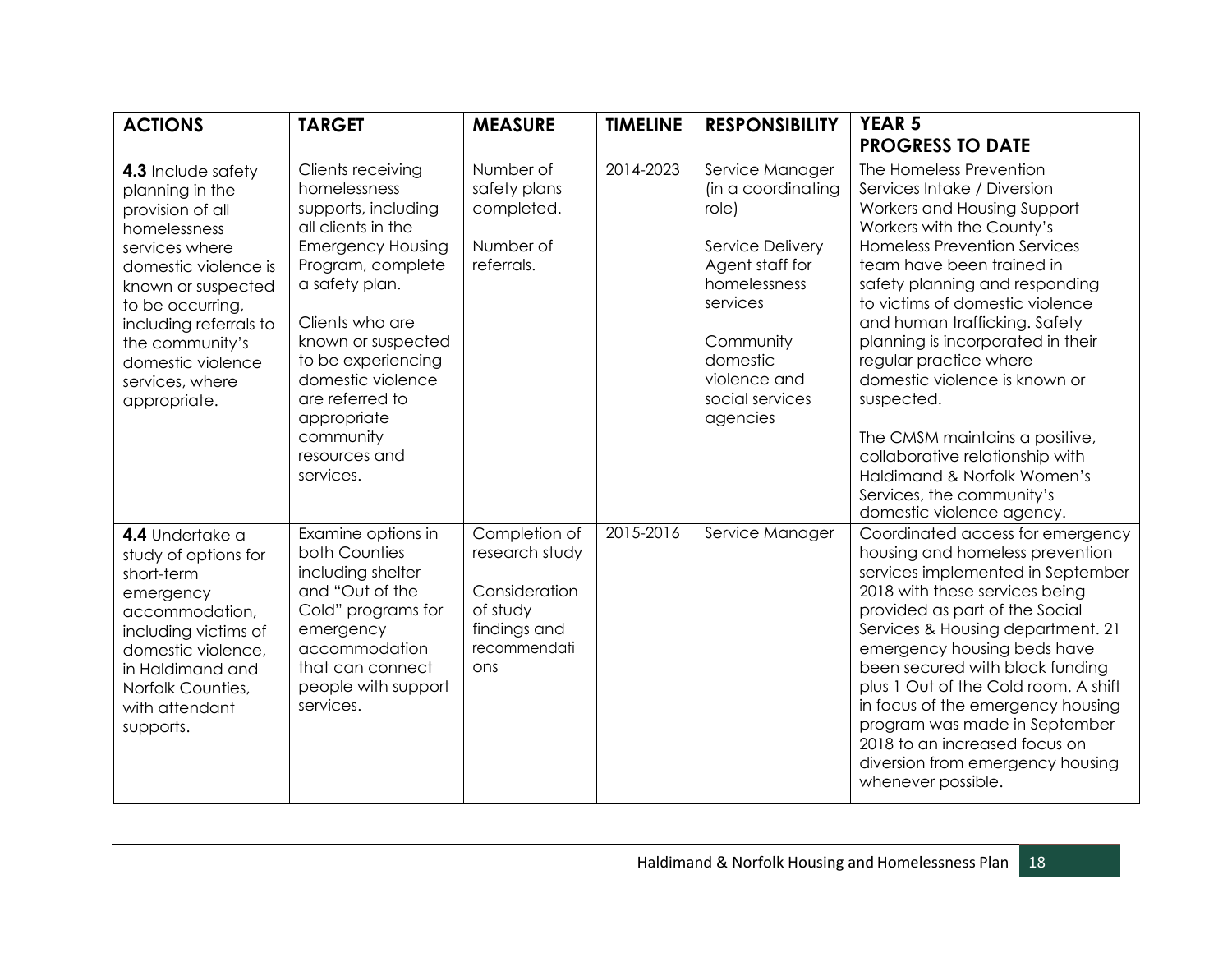| <b>ACTIONS</b>                                                                                                                                                                                                                                                     | <b>TARGET</b>                                                                                                                                                                                                                                                                                                      | <b>MEASURE</b>                                                                                      | <b>TIMELINE</b> | <b>RESPONSIBILITY</b>                                                                                                                                                                     | <b>YEAR 5</b><br><b>PROGRESS TO DATE</b>                                                                                                                                                                                                                                                                                                                                                                                                                                                                                                                                 |
|--------------------------------------------------------------------------------------------------------------------------------------------------------------------------------------------------------------------------------------------------------------------|--------------------------------------------------------------------------------------------------------------------------------------------------------------------------------------------------------------------------------------------------------------------------------------------------------------------|-----------------------------------------------------------------------------------------------------|-----------------|-------------------------------------------------------------------------------------------------------------------------------------------------------------------------------------------|--------------------------------------------------------------------------------------------------------------------------------------------------------------------------------------------------------------------------------------------------------------------------------------------------------------------------------------------------------------------------------------------------------------------------------------------------------------------------------------------------------------------------------------------------------------------------|
| 4.3 Include safety<br>planning in the<br>provision of all<br>homelessness<br>services where<br>domestic violence is<br>known or suspected<br>to be occurring,<br>including referrals to<br>the community's<br>domestic violence<br>services, where<br>appropriate. | Clients receiving<br>homelessness<br>supports, including<br>all clients in the<br><b>Emergency Housing</b><br>Program, complete<br>a safety plan.<br>Clients who are<br>known or suspected<br>to be experiencing<br>domestic violence<br>are referred to<br>appropriate<br>community<br>resources and<br>services. | Number of<br>safety plans<br>completed.<br>Number of<br>referrals.                                  | 2014-2023       | Service Manager<br>(in a coordinating<br>role)<br>Service Delivery<br>Agent staff for<br>homelessness<br>services<br>Community<br>domestic<br>violence and<br>social services<br>agencies | The Homeless Prevention<br>Services Intake / Diversion<br>Workers and Housing Support<br>Workers with the County's<br><b>Homeless Prevention Services</b><br>team have been trained in<br>safety planning and responding<br>to victims of domestic violence<br>and human trafficking. Safety<br>planning is incorporated in their<br>regular practice where<br>domestic violence is known or<br>suspected.<br>The CMSM maintains a positive,<br>collaborative relationship with<br>Haldimand & Norfolk Women's<br>Services, the community's<br>domestic violence agency. |
| 4.4 Undertake a<br>study of options for<br>short-term<br>emergency<br>accommodation,<br>including victims of<br>domestic violence,<br>in Haldimand and<br>Norfolk Counties,<br>with attendant<br>supports.                                                         | Examine options in<br>both Counties<br>including shelter<br>and "Out of the<br>Cold" programs for<br>emergency<br>accommodation<br>that can connect<br>people with support<br>services.                                                                                                                            | Completion of<br>research study<br>Consideration<br>of study<br>findings and<br>recommendati<br>ons | 2015-2016       | Service Manager                                                                                                                                                                           | Coordinated access for emergency<br>housing and homeless prevention<br>services implemented in September<br>2018 with these services being<br>provided as part of the Social<br>Services & Housing department. 21<br>emergency housing beds have<br>been secured with block funding<br>plus 1 Out of the Cold room. A shift<br>in focus of the emergency housing<br>program was made in September<br>2018 to an increased focus on<br>diversion from emergency housing<br>whenever possible.                                                                             |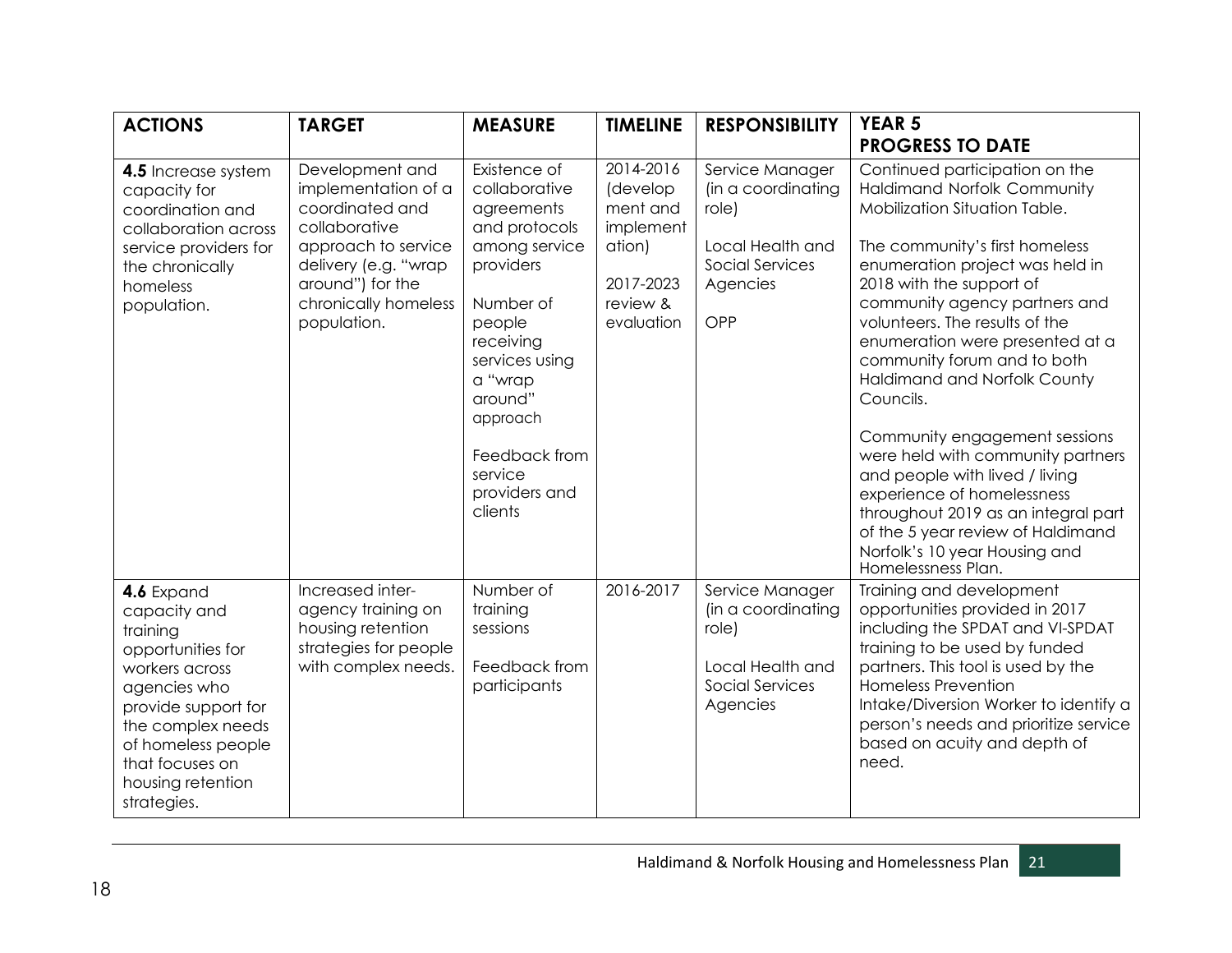| <b>ACTIONS</b>                                                                                                                                                                                                         | <b>TARGET</b>                                                                                                                                                                        | <b>MEASURE</b>                                                                                                                                                                                                                             | <b>TIMELINE</b>                                                                                 | <b>RESPONSIBILITY</b>                                                                                    | <b>YEAR 5</b><br><b>PROGRESS TO DATE</b>                                                                                                                                                                                                                                                                                                                                                                                                                                                                                                                                                                                                                   |
|------------------------------------------------------------------------------------------------------------------------------------------------------------------------------------------------------------------------|--------------------------------------------------------------------------------------------------------------------------------------------------------------------------------------|--------------------------------------------------------------------------------------------------------------------------------------------------------------------------------------------------------------------------------------------|-------------------------------------------------------------------------------------------------|----------------------------------------------------------------------------------------------------------|------------------------------------------------------------------------------------------------------------------------------------------------------------------------------------------------------------------------------------------------------------------------------------------------------------------------------------------------------------------------------------------------------------------------------------------------------------------------------------------------------------------------------------------------------------------------------------------------------------------------------------------------------------|
| 4.5 Increase system<br>capacity for<br>coordination and<br>collaboration across<br>service providers for<br>the chronically<br>homeless<br>population.                                                                 | Development and<br>implementation of a<br>coordinated and<br>collaborative<br>approach to service<br>delivery (e.g. "wrap<br>around") for the<br>chronically homeless<br>population. | Existence of<br>collaborative<br>agreements<br>and protocols<br>among service<br>providers<br>Number of<br>people<br>receiving<br>services using<br>a "wrap<br>around"<br>approach<br>Feedback from<br>service<br>providers and<br>clients | 2014-2016<br>(develop<br>ment and<br>implement<br>ation)<br>2017-2023<br>review &<br>evaluation | Service Manager<br>(in a coordinating<br>role)<br>Local Health and<br>Social Services<br>Agencies<br>OPP | Continued participation on the<br>Haldimand Norfolk Community<br>Mobilization Situation Table.<br>The community's first homeless<br>enumeration project was held in<br>2018 with the support of<br>community agency partners and<br>volunteers. The results of the<br>enumeration were presented at a<br>community forum and to both<br>Haldimand and Norfolk County<br>Councils.<br>Community engagement sessions<br>were held with community partners<br>and people with lived / living<br>experience of homelessness<br>throughout 2019 as an integral part<br>of the 5 year review of Haldimand<br>Norfolk's 10 year Housing and<br>Homelessness Plan. |
| 4.6 Expand<br>capacity and<br>training<br>opportunities for<br>workers across<br>agencies who<br>provide support for<br>the complex needs<br>of homeless people<br>that focuses on<br>housing retention<br>strategies. | Increased inter-<br>agency training on<br>housing retention<br>strategies for people<br>with complex needs.                                                                          | Number of<br>training<br>sessions<br>Feedback from<br>participants                                                                                                                                                                         | 2016-2017                                                                                       | Service Manager<br>(in a coordinating<br>role)<br>Local Health and<br>Social Services<br>Agencies        | Training and development<br>opportunities provided in 2017<br>including the SPDAT and VI-SPDAT<br>training to be used by funded<br>partners. This tool is used by the<br><b>Homeless Prevention</b><br>Intake/Diversion Worker to identify a<br>person's needs and prioritize service<br>based on acuity and depth of<br>need.                                                                                                                                                                                                                                                                                                                             |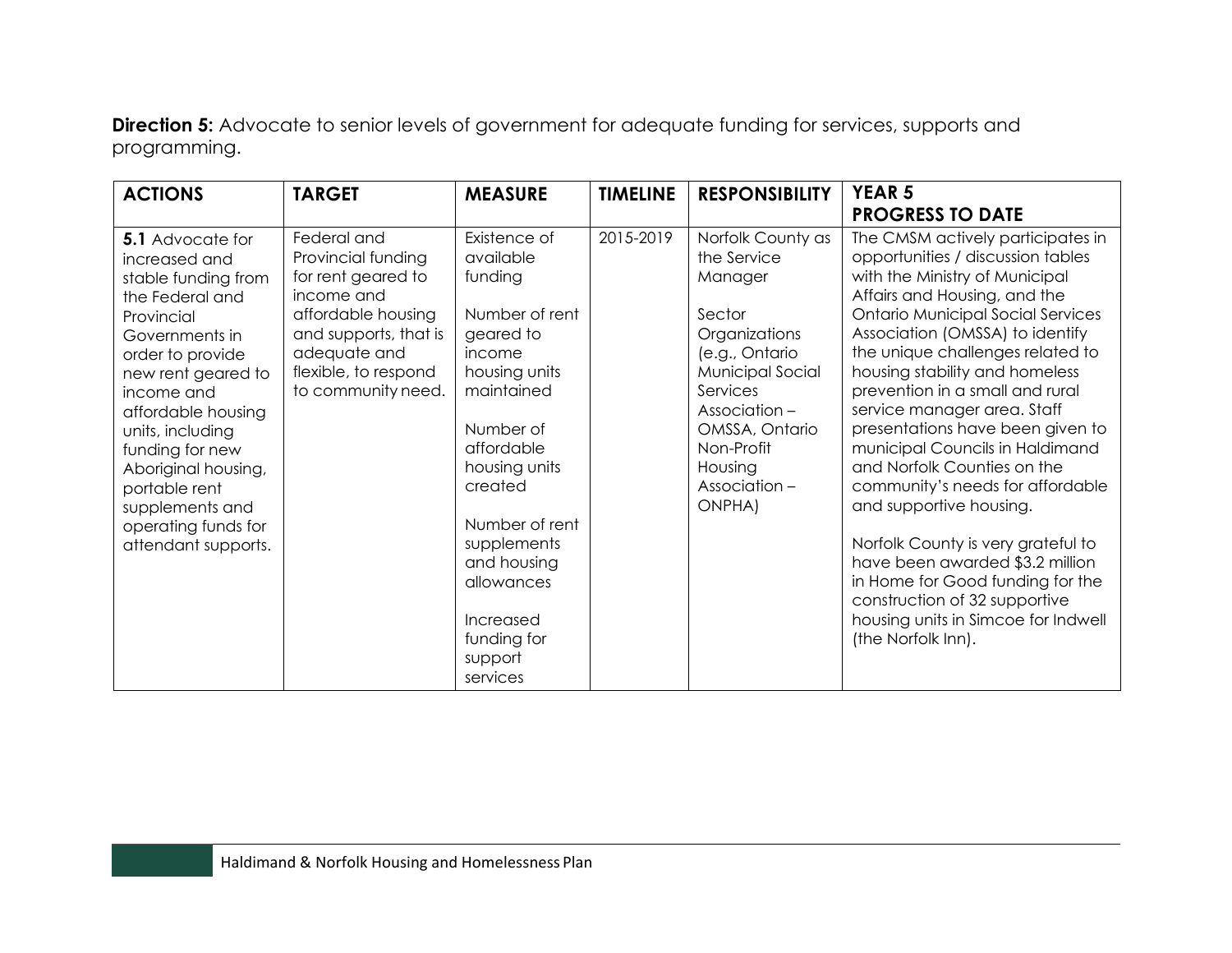**Direction 5:** Advocate to senior levels of government for adequate funding for services, supports and programming.

| <b>ACTIONS</b>                                                                                                                                                                                                                                                                                                                                   | <b>TARGET</b>                                                                                                                                                                      | <b>MEASURE</b>                                                                                                                                                                                                                                                                       | <b>TIMELINE</b> | <b>RESPONSIBILITY</b>                                                                                                                                                                                         | <b>YEAR 5</b><br><b>PROGRESS TO DATE</b>                                                                                                                                                                                                                                                                                                                                                                                                                                                                                                                                                                                                                                                                                                        |
|--------------------------------------------------------------------------------------------------------------------------------------------------------------------------------------------------------------------------------------------------------------------------------------------------------------------------------------------------|------------------------------------------------------------------------------------------------------------------------------------------------------------------------------------|--------------------------------------------------------------------------------------------------------------------------------------------------------------------------------------------------------------------------------------------------------------------------------------|-----------------|---------------------------------------------------------------------------------------------------------------------------------------------------------------------------------------------------------------|-------------------------------------------------------------------------------------------------------------------------------------------------------------------------------------------------------------------------------------------------------------------------------------------------------------------------------------------------------------------------------------------------------------------------------------------------------------------------------------------------------------------------------------------------------------------------------------------------------------------------------------------------------------------------------------------------------------------------------------------------|
| <b>5.1</b> Advocate for<br>increased and<br>stable funding from<br>the Federal and<br>Provincial<br>Governments in<br>order to provide<br>new rent geared to<br>income and<br>affordable housing<br>units, including<br>funding for new<br>Aboriginal housing,<br>portable rent<br>supplements and<br>operating funds for<br>attendant supports. | Federal and<br>Provincial funding<br>for rent geared to<br>income and<br>affordable housing<br>and supports, that is<br>adequate and<br>flexible, to respond<br>to community need. | Existence of<br>available<br>funding<br>Number of rent<br>geared to<br>income<br>housing units<br>maintained<br>Number of<br>affordable<br>housing units<br>created<br>Number of rent<br>supplements<br>and housing<br>allowances<br>Increased<br>funding for<br>support<br>services | 2015-2019       | Norfolk County as<br>the Service<br>Manager<br>Sector<br>Organizations<br>(e.g., Ontario<br>Municipal Social<br>Services<br>Association-<br>OMSSA, Ontario<br>Non-Profit<br>Housing<br>Association-<br>ONPHA) | The CMSM actively participates in<br>opportunities / discussion tables<br>with the Ministry of Municipal<br>Affairs and Housing, and the<br><b>Ontario Municipal Social Services</b><br>Association (OMSSA) to identify<br>the unique challenges related to<br>housing stability and homeless<br>prevention in a small and rural<br>service manager area. Staff<br>presentations have been given to<br>municipal Councils in Haldimand<br>and Norfolk Counties on the<br>community's needs for affordable<br>and supportive housing.<br>Norfolk County is very grateful to<br>have been awarded \$3.2 million<br>in Home for Good funding for the<br>construction of 32 supportive<br>housing units in Simcoe for Indwell<br>(the Norfolk Inn). |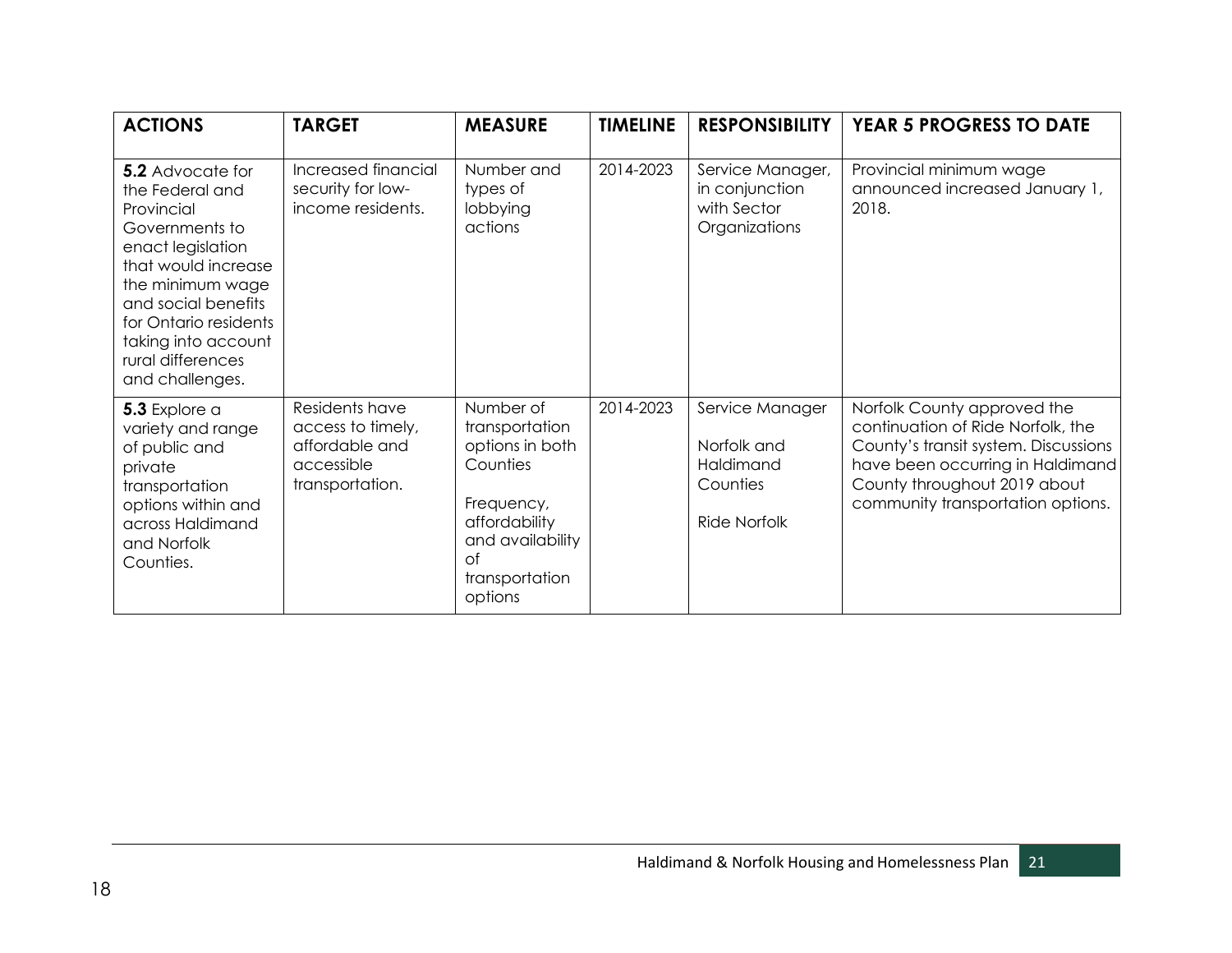| <b>ACTIONS</b>                                                                                                                                                                                                                                            | <b>TARGET</b>                                                                          | <b>MEASURE</b>                                                                                                                                          | <b>TIMELINE</b> | <b>RESPONSIBILITY</b>                                                          | <b>YEAR 5 PROGRESS TO DATE</b>                                                                                                                                                                                    |
|-----------------------------------------------------------------------------------------------------------------------------------------------------------------------------------------------------------------------------------------------------------|----------------------------------------------------------------------------------------|---------------------------------------------------------------------------------------------------------------------------------------------------------|-----------------|--------------------------------------------------------------------------------|-------------------------------------------------------------------------------------------------------------------------------------------------------------------------------------------------------------------|
| <b>5.2</b> Advocate for<br>the Federal and<br>Provincial<br>Governments to<br>enact legislation<br>that would increase<br>the minimum wage<br>and social benefits<br>for Ontario residents<br>taking into account<br>rural differences<br>and challenges. | Increased financial<br>security for low-<br>income residents.                          | Number and<br>types of<br>lobbying<br>actions                                                                                                           | 2014-2023       | Service Manager,<br>in conjunction<br>with Sector<br>Organizations             | Provincial minimum wage<br>announced increased January 1,<br>2018.                                                                                                                                                |
| 5.3 Explore a<br>variety and range<br>of public and<br>private<br>transportation<br>options within and<br>across Haldimand<br>and Norfolk<br>Counties.                                                                                                    | Residents have<br>access to timely,<br>affordable and<br>accessible<br>transportation. | Number of<br>transportation<br>options in both<br>Counties<br>Frequency,<br>affordability<br>and availability<br>$\circ$ f<br>transportation<br>options | 2014-2023       | Service Manager<br>Norfolk and<br>Haldimand<br>Counties<br><b>Ride Norfolk</b> | Norfolk County approved the<br>continuation of Ride Norfolk, the<br>County's transit system. Discussions<br>have been occurring in Haldimand<br>County throughout 2019 about<br>community transportation options. |